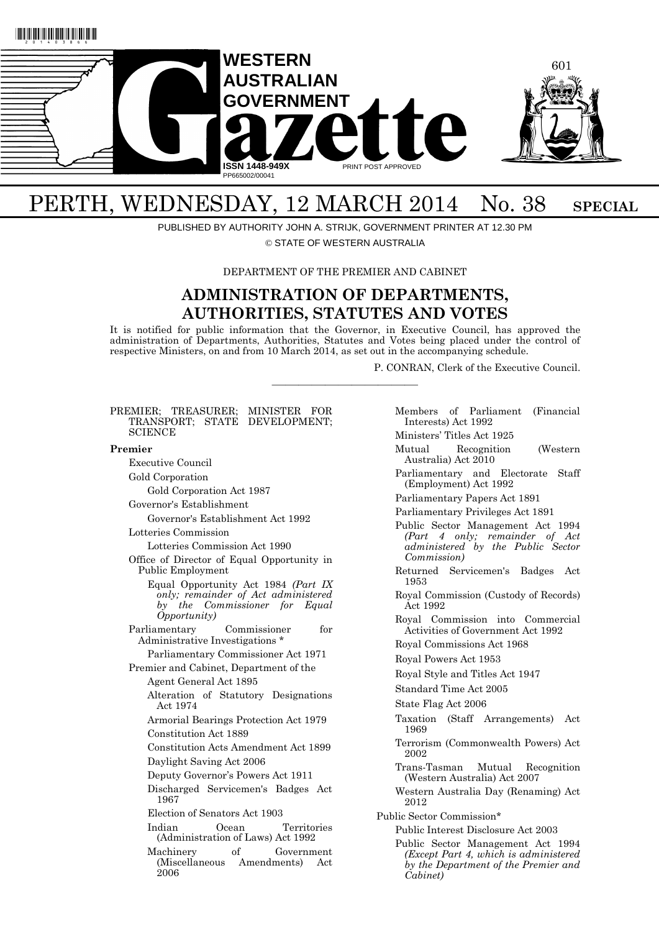



# PERTH, WEDNESDAY, 12 MARCH 2014 No. 38 SPECIAL

PUBLISHED BY AUTHORITY JOHN A. STRIJK, GOVERNMENT PRINTER AT 12.30 PM

© STATE OF WESTERN AUSTRALIA

DEPARTMENT OF THE PREMIER AND CABINET

# **ADMINISTRATION OF DEPARTMENTS, AUTHORITIES, STATUTES AND VOTES**

It is notified for public information that the Governor, in Executive Council, has approved the administration of Departments, Authorities, Statutes and Votes being placed under the control of respective Ministers, on and from 10 March 2014, as set out in the accompanying schedule.

———————————

P. CONRAN, Clerk of the Executive Council.

### PREMIER; TREASURER; MINISTER FOR TRANSPORT; STATE DEVELOPMENT; **SCIENCE Premier** Executive Council Gold Corporation Gold Corporation Act 1987 Governor's Establishment Governor's Establishment Act 1992 Lotteries Commission Lotteries Commission Act 1990 Office of Director of Equal Opportunity in Public Employment Equal Opportunity Act 1984 *(Part IX only; remainder of Act administered by the Commissioner for Equal Opportunity)* Parliamentary Commissioner for Administrative Investigations \* Parliamentary Commissioner Act 1971 Premier and Cabinet, Department of the Agent General Act 1895 Alteration of Statutory Designations Act 1974 Armorial Bearings Protection Act 1979 Constitution Act 1889 Constitution Acts Amendment Act 1899 Daylight Saving Act 2006 Deputy Governor's Powers Act 1911 Discharged Servicemen's Badges Act 1967 Election of Senators Act 1903 Indian Ocean Territories (Administration of Laws) Act 1992 Machinery of Government (Miscellaneous Amendments) Act 2006

Members of Parliament (Financial Interests) Act 1992 Ministers' Titles Act 1925 Mutual Recognition (Western Australia) Act 2010 Parliamentary and Electorate Staff (Employment) Act 1992 Parliamentary Papers Act 1891 Parliamentary Privileges Act 1891 Public Sector Management Act 1994 *(Part 4 only; remainder of Act administered by the Public Sector Commission)* Returned Servicemen's Badges Act 1953 Royal Commission (Custody of Records) Act 1992 Royal Commission into Commercial Activities of Government Act 1992 Royal Commissions Act 1968 Royal Powers Act 1953 Royal Style and Titles Act 1947 Standard Time Act 2005 State Flag Act 2006 Taxation (Staff Arrangements) Act 1969 Terrorism (Commonwealth Powers) Act 2002 Trans-Tasman Mutual Recognition (Western Australia) Act 2007 Western Australia Day (Renaming) Act 2012 Public Sector Commission\* Public Interest Disclosure Act 2003 Public Sector Management Act 1994 *(Except Part 4, which is administered by the Department of the Premier and Cabinet)*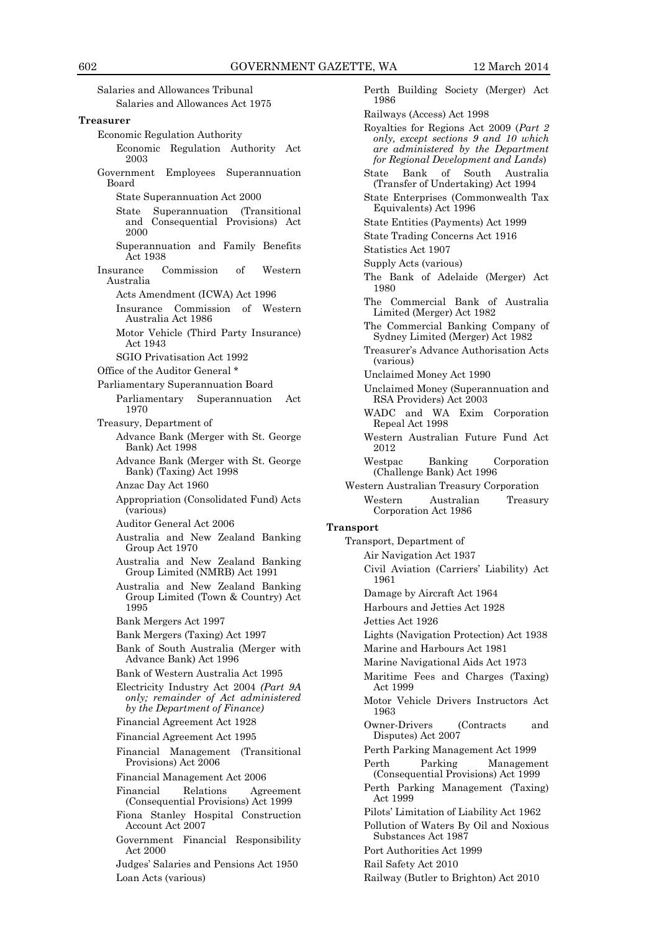Salaries and Allowances Tribunal Salaries and Allowances Act 1975 **Treasurer** Economic Regulation Authority Economic Regulation Authority Act 2003 Government Employees Superannuation Board State Superannuation Act 2000 State Superannuation (Transitional and Consequential Provisions) Act 2000 Superannuation and Family Benefits Act 1938 Insurance Commission of Western Australia Acts Amendment (ICWA) Act 1996 Insurance Commission of Western Australia Act 1986 Motor Vehicle (Third Party Insurance) Act 1943 SGIO Privatisation Act 1992 Office of the Auditor General \* Parliamentary Superannuation Board Parliamentary Superannuation Act 1970 Treasury, Department of Advance Bank (Merger with St. George Bank) Act 1998 Advance Bank (Merger with St. George Bank) (Taxing) Act 1998 Anzac Day Act 1960 Appropriation (Consolidated Fund) Acts (various) Auditor General Act 2006 Australia and New Zealand Banking Group Act 1970 Australia and New Zealand Banking Group Limited (NMRB) Act 1991 Australia and New Zealand Banking Group Limited (Town & Country) Act 1995 Bank Mergers Act 1997 Bank Mergers (Taxing) Act 1997 Bank of South Australia (Merger with Advance Bank) Act 1996 Bank of Western Australia Act 1995 Electricity Industry Act 2004 *(Part 9A only; remainder of Act administered by the Department of Finance)* Financial Agreement Act 1928 Financial Agreement Act 1995 Financial Management (Transitional Provisions) Act 2006 Financial Management Act 2006 Financial Relations Agreement (Consequential Provisions) Act 1999 Fiona Stanley Hospital Construction Account Act 2007 Government Financial Responsibility Act 2000 Judges' Salaries and Pensions Act 1950 Loan Acts (various)

Perth Building Society (Merger) Act 1986 Railways (Access) Act 1998 Royalties for Regions Act 2009 (*Part 2 only, except sections 9 and 10 which are administered by the Department for Regional Development and Lands*) State Bank of South Australia (Transfer of Undertaking) Act 1994 State Enterprises (Commonwealth Tax Equivalents) Act 1996 State Entities (Payments) Act 1999 State Trading Concerns Act 1916 Statistics Act 1907 Supply Acts (various) The Bank of Adelaide (Merger) Act 1980 The Commercial Bank of Australia Limited (Merger) Act 1982 The Commercial Banking Company of Sydney Limited (Merger) Act 1982 Treasurer's Advance Authorisation Acts (various) Unclaimed Money Act 1990 Unclaimed Money (Superannuation and RSA Providers) Act 2003 WADC and WA Exim Corporation Repeal Act 1998 Western Australian Future Fund Act 2012 Westpac Banking Corporation (Challenge Bank) Act 1996 Western Australian Treasury Corporation Western Australian Treasury Corporation Act 1986 **Transport** Transport, Department of Air Navigation Act 1937 Civil Aviation (Carriers' Liability) Act 1961 Damage by Aircraft Act 1964 Harbours and Jetties Act 1928 Jetties Act 1926 Lights (Navigation Protection) Act 1938 Marine and Harbours Act 1981 Marine Navigational Aids Act 1973 Maritime Fees and Charges (Taxing) Act 1999 Motor Vehicle Drivers Instructors Act 1963 Owner-Drivers (Contracts and Disputes) Act 2007 Perth Parking Management Act 1999 Perth Parking Management (Consequential Provisions) Act 1999 Perth Parking Management (Taxing) Act 1999 Pilots' Limitation of Liability Act 1962 Pollution of Waters By Oil and Noxious Substances Act 1987 Port Authorities Act 1999 Rail Safety Act 2010 Railway (Butler to Brighton) Act 2010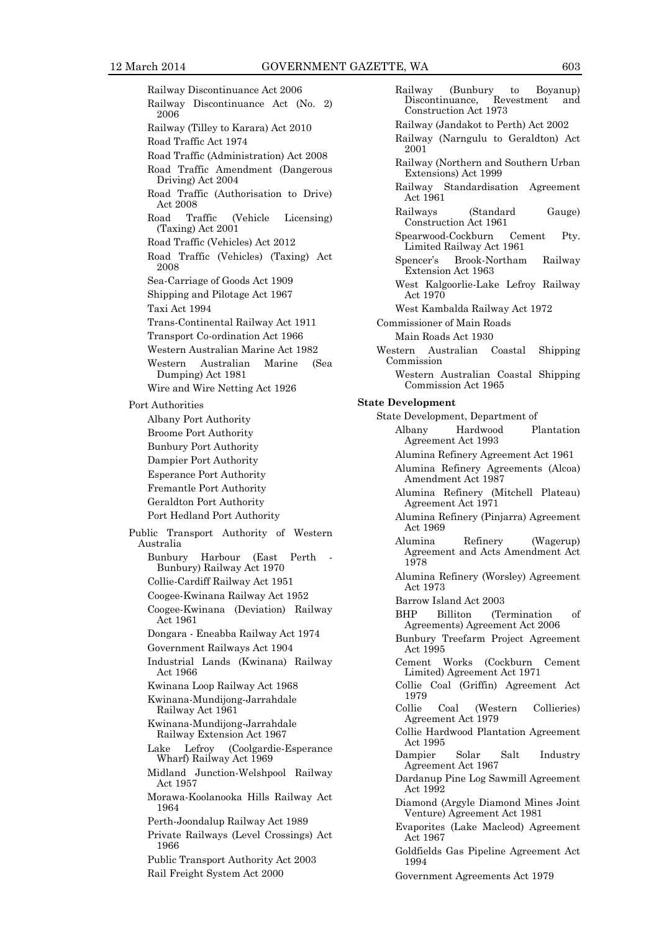Railway Discontinuance Act 2006 Railway Discontinuance Act (No. 2) 2006 Railway (Tilley to Karara) Act 2010 Road Traffic Act 1974 Road Traffic (Administration) Act 2008 Road Traffic Amendment (Dangerous Driving) Act 2004 Road Traffic (Authorisation to Drive) Act 2008 Road Traffic (Vehicle Licensing) (Taxing) Act 2001 Road Traffic (Vehicles) Act 2012 Road Traffic (Vehicles) (Taxing) Act 2008 Sea-Carriage of Goods Act 1909 Shipping and Pilotage Act 1967 Taxi Act 1994 Trans-Continental Railway Act 1911 Transport Co-ordination Act 1966 Western Australian Marine Act 1982 Western Australian Marine (Sea Dumping) Act 1981 Wire and Wire Netting Act 1926 Port Authorities Albany Port Authority Broome Port Authority Bunbury Port Authority Dampier Port Authority Esperance Port Authority Fremantle Port Authority Geraldton Port Authority Port Hedland Port Authority Public Transport Authority of Western Australia Bunbury Harbour (East Perth Bunbury) Railway Act 1970 Collie-Cardiff Railway Act 1951 Coogee-Kwinana Railway Act 1952 Coogee-Kwinana (Deviation) Railway Act 1961 Dongara - Eneabba Railway Act 1974 Government Railways Act 1904 Industrial Lands (Kwinana) Railway Act 1966 Kwinana Loop Railway Act 1968 Kwinana-Mundijong-Jarrahdale Railway Act 1961 Kwinana-Mundijong-Jarrahdale Railway Extension Act 1967 Lake Lefroy (Coolgardie-Esperance Wharf) Railway Act 1969 Midland Junction-Welshpool Railway Act 1957 Morawa-Koolanooka Hills Railway Act 1964 Perth-Joondalup Railway Act 1989 Private Railways (Level Crossings) Act 1966 Public Transport Authority Act 2003 Rail Freight System Act 2000

Railway (Bunbury to Boyanup)<br>Discontinuance, Revestment and Discontinuance, Construction Act 1973 Railway (Jandakot to Perth) Act 2002 Railway (Narngulu to Geraldton) Act 2001 Railway (Northern and Southern Urban Extensions) Act 1999 Railway Standardisation Agreement Act 1961 Railways (Standard Gauge) Construction Act 1961 Spearwood-Cockburn Cement Pty. Limited Railway Act 1961 Spencer's Brook-Northam Railway Extension Act 1963 West Kalgoorlie-Lake Lefroy Railway Act 1970 West Kambalda Railway Act 1972 Commissioner of Main Roads Main Roads Act 1930 Western Australian Coastal Shipping Commission Western Australian Coastal Shipping Commission Act 1965 **State Development** State Development, Department of Albany Hardwood Plantation Agreement Act 1993 Alumina Refinery Agreement Act 1961 Alumina Refinery Agreements (Alcoa) Amendment Act 1987 Alumina Refinery (Mitchell Plateau) Agreement Act 1971 Alumina Refinery (Pinjarra) Agreement Act 1969 Alumina Refinery (Wagerup) Agreement and Acts Amendment Act 1978 Alumina Refinery (Worsley) Agreement Act 1973 Barrow Island Act 2003 BHP Billiton (Termination of Agreements) Agreement Act 2006 Bunbury Treefarm Project Agreement Act 1995 Cement Works (Cockburn Cement Limited) Agreement Act 1971 Collie Coal (Griffin) Agreement Act 1979 Collie Coal (Western Collieries) Agreement Act 1979 Collie Hardwood Plantation Agreement Act 1995 Dampier Solar Salt Industry Agreement Act 1967 Dardanup Pine Log Sawmill Agreement Act 1992 Diamond (Argyle Diamond Mines Joint Venture) Agreement Act 1981 Evaporites (Lake Macleod) Agreement Act 1967 Goldfields Gas Pipeline Agreement Act 1994

Government Agreements Act 1979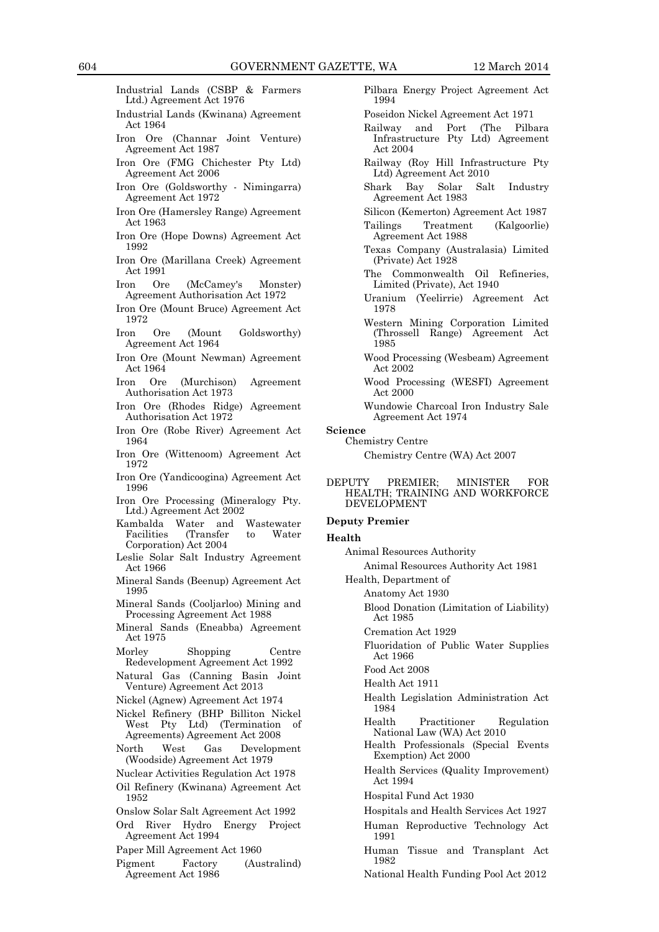- Industrial Lands (CSBP & Farmers Ltd.) Agreement Act 1976
- Industrial Lands (Kwinana) Agreement Act 1964
- Iron Ore (Channar Joint Venture) Agreement Act 1987
- Iron Ore (FMG Chichester Pty Ltd) Agreement Act 2006
- Iron Ore (Goldsworthy Nimingarra) Agreement Act 1972
- Iron Ore (Hamersley Range) Agreement Act 1963
- Iron Ore (Hope Downs) Agreement Act 1992
- Iron Ore (Marillana Creek) Agreement Act 1991
- Iron Ore (McCamey's Monster) Agreement Authorisation Act 1972
- Iron Ore (Mount Bruce) Agreement Act 1972
- Iron Ore (Mount Goldsworthy) Agreement Act 1964
- Iron Ore (Mount Newman) Agreement Act 1964
- Iron Ore (Murchison) Agreement Authorisation Act 1973
- Iron Ore (Rhodes Ridge) Agreement Authorisation Act 1972
- Iron Ore (Robe River) Agreement Act 1964
- Iron Ore (Wittenoom) Agreement Act 1972
- Iron Ore (Yandicoogina) Agreement Act 1996
- Iron Ore Processing (Mineralogy Pty. Ltd.) Agreement Act 2002
- Kambalda Water and Wastewater Facilities (Transfer to Water Corporation) Act 2004
- Leslie Solar Salt Industry Agreement Act 1966
- Mineral Sands (Beenup) Agreement Act 1995
- Mineral Sands (Cooljarloo) Mining and Processing Agreement Act 1988
- Mineral Sands (Eneabba) Agreement Act 1975
- Morley Shopping Centre Redevelopment Agreement Act 1992
- Natural Gas (Canning Basin Joint Venture) Agreement Act 2013
- Nickel (Agnew) Agreement Act 1974
- Nickel Refinery (BHP Billiton Nickel West Pty Ltd) (Termination of Agreements) Agreement Act 2008
- North West Gas Development (Woodside) Agreement Act 1979
- Nuclear Activities Regulation Act 1978
- Oil Refinery (Kwinana) Agreement Act 1952
- Onslow Solar Salt Agreement Act 1992
- Ord River Hydro Energy Project Agreement Act 1994
- Paper Mill Agreement Act 1960
- Pigment Factory (Australind) Agreement Act 1986
- Pilbara Energy Project Agreement Act 1994
- Poseidon Nickel Agreement Act 1971
- Railway and Port (The Pilbara Infrastructure Pty Ltd) Agreement Act 2004
- Railway (Roy Hill Infrastructure Pty Ltd) Agreement Act 2010
- Shark Bay Solar Salt Industry Agreement Act 1983
- Silicon (Kemerton) Agreement Act 1987 Tailings Treatment (Kalgoorlie)
- Agreement Act 1988
- Texas Company (Australasia) Limited (Private) Act 1928
- The Commonwealth Oil Refineries, Limited (Private), Act 1940
- Uranium (Yeelirrie) Agreement Act 1978
- Western Mining Corporation Limited (Throssell Range) Agreement Act 1985
- Wood Processing (Wesbeam) Agreement Act 2002
- Wood Processing (WESFI) Agreement Act 2000
- Wundowie Charcoal Iron Industry Sale Agreement Act 1974
- **Science**
- Chemistry Centre

Chemistry Centre (WA) Act 2007

DEPUTY PREMIER; MINISTER FOR HEALTH; TRAINING AND WORKFORCE DEVELOPMENT

#### **Deputy Premier**

#### **Health**

Animal Resources Authority

Animal Resources Authority Act 1981

Health, Department of

- Anatomy Act 1930
	- Blood Donation (Limitation of Liability) Act 1985
	- Cremation Act 1929
	- Fluoridation of Public Water Supplies Act 1966

Food Act 2008

- Health Act 1911
- Health Legislation Administration Act 1984
- Health Practitioner Regulation National Law (WA) Act 2010
- Health Professionals (Special Events Exemption) Act 2000
- Health Services (Quality Improvement) Act 1994
- Hospital Fund Act 1930
- Hospitals and Health Services Act 1927
- Human Reproductive Technology Act 1991
- Human Tissue and Transplant Act 1982
- National Health Funding Pool Act 2012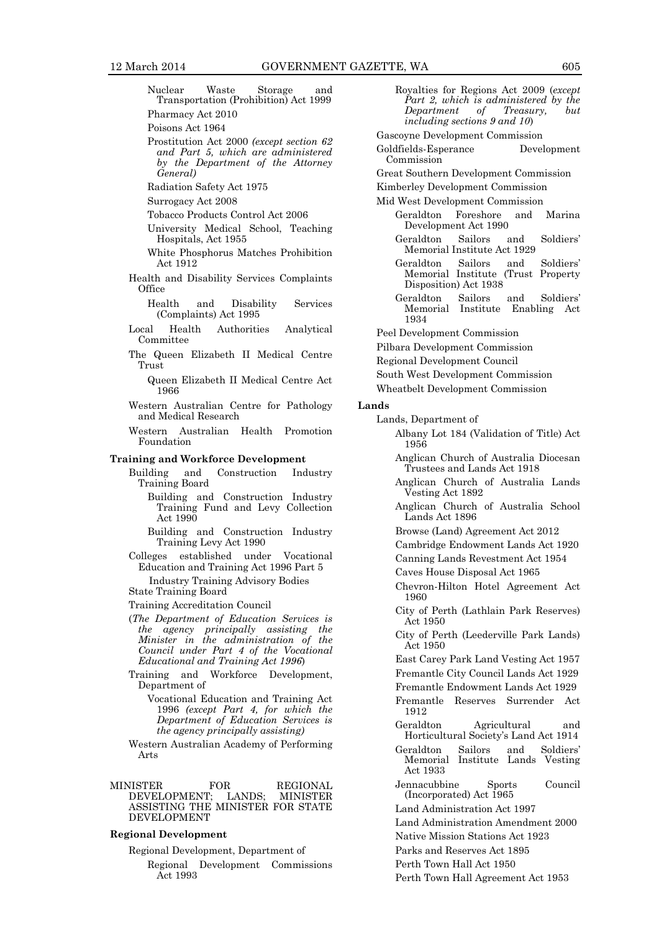- Nuclear Waste Storage and Transportation (Prohibition) Act 1999 Pharmacy Act 2010
- Poisons Act 1964
- Prostitution Act 2000 *(except section 62 and Part 5, which are administered by the Department of the Attorney General)*
- Radiation Safety Act 1975
- Surrogacy Act 2008
- Tobacco Products Control Act 2006
- University Medical School, Teaching Hospitals, Act 1955
- White Phosphorus Matches Prohibition Act 1912
- Health and Disability Services Complaints Office
	- Health and Disability Services (Complaints) Act 1995
- Local Health Authorities Analytical Committee
- The Queen Elizabeth II Medical Centre Trust
	- Queen Elizabeth II Medical Centre Act 1966
- Western Australian Centre for Pathology and Medical Research
- Western Australian Health Promotion Foundation

#### **Training and Workforce Development**

- Building and Construction Industry Training Board
	- Building and Construction Industry Training Fund and Levy Collection Act 1990
	- Building and Construction Industry Training Levy Act 1990
- Colleges established under Vocational Education and Training Act 1996 Part 5
- Industry Training Advisory Bodies State Training Board
- Training Accreditation Council
- (*The Department of Education Services is the agency principally assisting the Minister in the administration of the Council under Part 4 of the Vocational Educational and Training Act 1996*)
- Training and Workforce Development, Department of
	- Vocational Education and Training Act 1996 *(except Part 4, for which the Department of Education Services is the agency principally assisting)*
- Western Australian Academy of Performing Arts
- MINISTER FOR REGIONAL DEVELOPMENT; LANDS: MINISTER DEVELOPMENT; LANDS; MINISTER ASSISTING THE MINISTER FOR STATE DEVELOPMENT

#### **Regional Development**

Regional Development, Department of Regional Development Commissions Act 1993

Royalties for Regions Act 2009 (*except Part 2, which is administered by the Department of Treasury, but including sections 9 and 10*)

Gascoyne Development Commission

- Goldfields-Esperance Development Commission
- Great Southern Development Commission
- Kimberley Development Commission
- Mid West Development Commission
	- Geraldton Foreshore and Marina Development Act 1990
	- Geraldton Sailors and Soldiers' Memorial Institute Act 1929
	- Geraldton Sailors and Soldiers' Memorial Institute (Trust Property Disposition) Act 1938
	- Geraldton Sailors and Soldiers' Memorial Institute 1934
- Peel Development Commission
- Pilbara Development Commission
- Regional Development Council
- South West Development Commission
- Wheatbelt Development Commission

#### **Lands**

- Lands, Department of
	- Albany Lot 184 (Validation of Title) Act 1956
	- Anglican Church of Australia Diocesan Trustees and Lands Act 1918
	- Anglican Church of Australia Lands Vesting Act 1892
	- Anglican Church of Australia School Lands Act 1896
	- Browse (Land) Agreement Act 2012
	- Cambridge Endowment Lands Act 1920
	- Canning Lands Revestment Act 1954
	- Caves House Disposal Act 1965
	- Chevron-Hilton Hotel Agreement Act 1960
	- City of Perth (Lathlain Park Reserves) Act 1950
	- City of Perth (Leederville Park Lands) Act 1950

East Carey Park Land Vesting Act 1957 Fremantle City Council Lands Act 1929

Fremantle Endowment Lands Act 1929

- Fremantle Reserves Surrender Act 1912
- Geraldton Agricultural and Horticultural Society's Land Act 1914
- Geraldton Sailors and Soldiers' Memorial Institute Lands Vesting Act 1933
- Jennacubbine Sports Council (Incorporated) Act 1965
- Land Administration Act 1997
- Land Administration Amendment 2000
- Native Mission Stations Act 1923
- Parks and Reserves Act 1895
- Perth Town Hall Act 1950
- Perth Town Hall Agreement Act 1953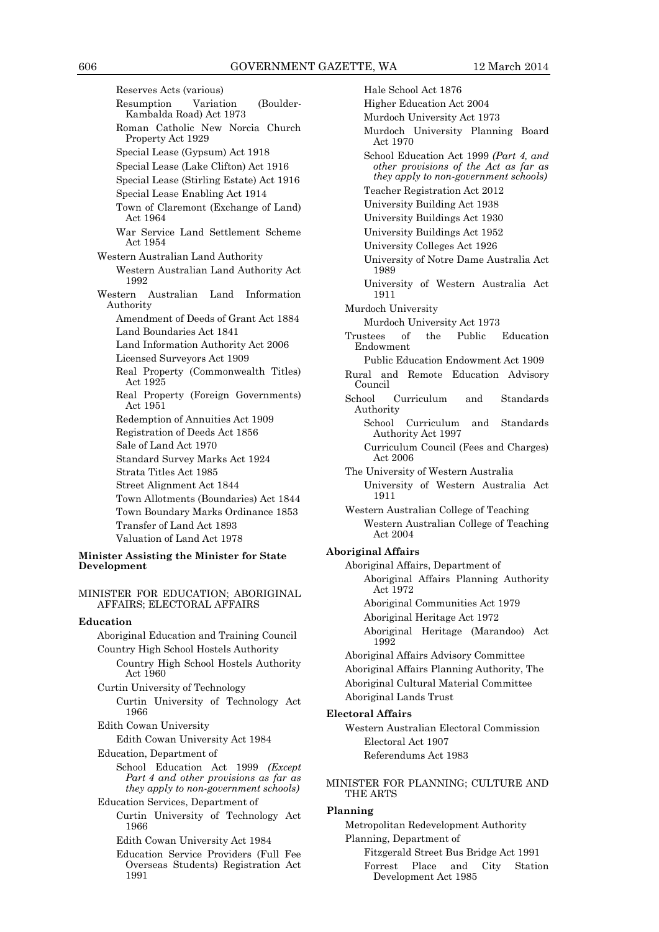Reserves Acts (various) Resumption Variation (Boulder-Kambalda Road) Act 1973 Roman Catholic New Norcia Church Property Act 1929 Special Lease (Gypsum) Act 1918 Special Lease (Lake Clifton) Act 1916 Special Lease (Stirling Estate) Act 1916 Special Lease Enabling Act 1914 Town of Claremont (Exchange of Land) Act 1964 War Service Land Settlement Scheme Act 1954 Western Australian Land Authority Western Australian Land Authority Act 1992 Western Australian Land Information Authority Amendment of Deeds of Grant Act 1884 Land Boundaries Act 1841 Land Information Authority Act 2006 Licensed Surveyors Act 1909 Real Property (Commonwealth Titles) Act 1925 Real Property (Foreign Governments) Act 1951 Redemption of Annuities Act 1909 Registration of Deeds Act 1856 Sale of Land Act 1970 Standard Survey Marks Act 1924 Strata Titles Act 1985 Street Alignment Act 1844 Town Allotments (Boundaries) Act 1844 Town Boundary Marks Ordinance 1853 Transfer of Land Act 1893 Valuation of Land Act 1978 **Minister Assisting the Minister for State Development**

MINISTER FOR EDUCATION; ABORIGINAL AFFAIRS; ELECTORAL AFFAIRS

#### **Education**

Aboriginal Education and Training Council Country High School Hostels Authority Country High School Hostels Authority

Act 1960

Curtin University of Technology Curtin University of Technology Act 1966

Edith Cowan University

Edith Cowan University Act 1984

Education, Department of

School Education Act 1999 *(Except Part 4 and other provisions as far as they apply to non-government schools)* Education Services, Department of

Curtin University of Technology Act 1966

Edith Cowan University Act 1984

Education Service Providers (Full Fee Overseas Students) Registration Act 1991

Hale School Act 1876 Higher Education Act 2004 Murdoch University Act 1973 Murdoch University Planning Board Act 1970 School Education Act 1999 *(Part 4, and other provisions of the Act as far as they apply to non-government schools)* Teacher Registration Act 2012 University Building Act 1938 University Buildings Act 1930 University Buildings Act 1952 University Colleges Act 1926 University of Notre Dame Australia Act 1989 University of Western Australia Act 1911 Murdoch University Murdoch University Act 1973 Trustees of the Public Education Endowment Public Education Endowment Act 1909 Rural and Remote Education Advisory Council School Curriculum and Standards Authority School Curriculum and Standards Authority Act 1997 Curriculum Council (Fees and Charges) Act 2006 The University of Western Australia University of Western Australia Act 1911 Western Australian College of Teaching Western Australian College of Teaching Act 2004 **Aboriginal Affairs** Aboriginal Affairs, Department of Aboriginal Affairs Planning Authority Act 1972 Aboriginal Communities Act 1979 Aboriginal Heritage Act 1972 Aboriginal Heritage (Marandoo) Act 1992 Aboriginal Affairs Advisory Committee Aboriginal Affairs Planning Authority, The Aboriginal Cultural Material Committee Aboriginal Lands Trust **Electoral Affairs** Western Australian Electoral Commission Electoral Act 1907 Referendums Act 1983

MINISTER FOR PLANNING; CULTURE AND THE ARTS

#### **Planning**

Metropolitan Redevelopment Authority Planning, Department of Fitzgerald Street Bus Bridge Act 1991 Forrest Place and City Station

Development Act 1985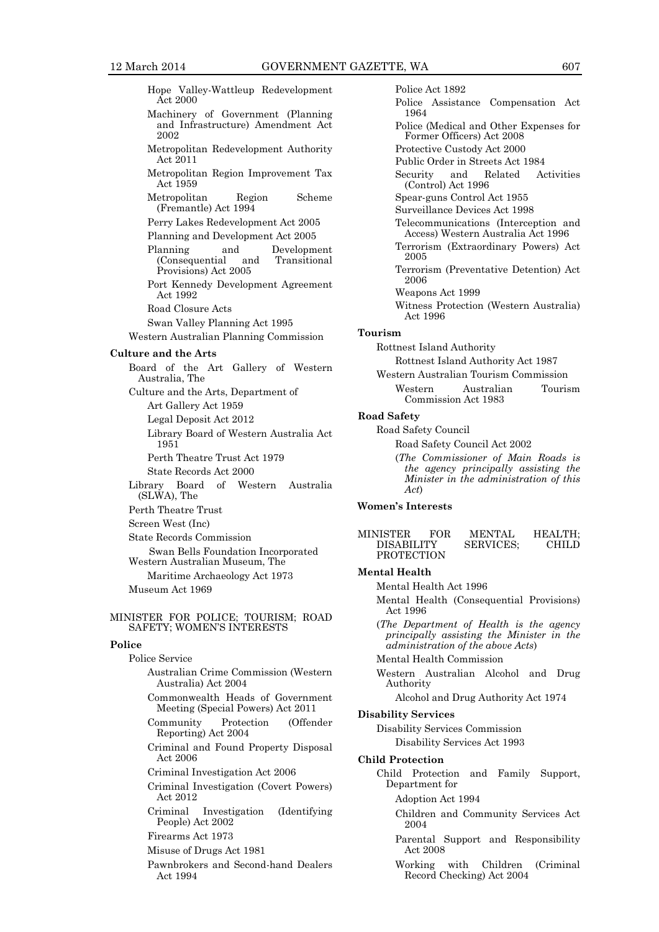Hope Valley-Wattleup Redevelopment Act 2000

- Machinery of Government (Planning and Infrastructure) Amendment Act 2002
- Metropolitan Redevelopment Authority Act 2011
- Metropolitan Region Improvement Tax Act 1959
- Metropolitan Region Scheme (Fremantle) Act 1994
- Perry Lakes Redevelopment Act 2005
- Planning and Development Act 2005
- Planning and Development<br>(Consequential and Transitional (Consequential Provisions) Act 2005
- Port Kennedy Development Agreement Act 1992
- Road Closure Acts
- Swan Valley Planning Act 1995
- Western Australian Planning Commission

#### **Culture and the Arts**

Board of the Art Gallery of Western Australia, The Culture and the Arts, Department of Art Gallery Act 1959 Legal Deposit Act 2012 Library Board of Western Australia Act 1951 Perth Theatre Trust Act 1979 State Records Act 2000 Library Board of Western Australia (SLWA), The Perth Theatre Trust Screen West (Inc) State Records Commission Swan Bells Foundation Incorporated Western Australian Museum, The Maritime Archaeology Act 1973

Museum Act 1969

#### MINISTER FOR POLICE; TOURISM; ROAD SAFETY; WOMEN'S INTERESTS

#### **Police**

- Police Service Australian Crime Commission (Western Australia) Act 2004
	- Commonwealth Heads of Government Meeting (Special Powers) Act 2011
	- Community Protection (Offender Reporting) Act 2004
	- Criminal and Found Property Disposal Act 2006
	- Criminal Investigation Act 2006
	- Criminal Investigation (Covert Powers) Act 2012
	- Criminal Investigation (Identifying People) Act 2002
	- Firearms Act 1973
	- Misuse of Drugs Act 1981
	- Pawnbrokers and Second-hand Dealers Act 1994

Police Act 1892 Police Assistance Compensation Act 1964 Police (Medical and Other Expenses for Former Officers) Act 2008 Protective Custody Act 2000 Public Order in Streets Act 1984 Security and Related Activities (Control) Act 1996 Spear-guns Control Act 1955 Surveillance Devices Act 1998 Telecommunications (Interception and Access) Western Australia Act 1996 Terrorism (Extraordinary Powers) Act 2005 Terrorism (Preventative Detention) Act 2006 Weapons Act 1999 Witness Protection (Western Australia) Act 1996

#### **Tourism**

Rottnest Island Authority

- Rottnest Island Authority Act 1987
- Western Australian Tourism Commission Western Australian Tourism Commission Act 1983

#### **Road Safety**

- Road Safety Council
	- Road Safety Council Act 2002
	- (*The Commissioner of Main Roads is the agency principally assisting the Minister in the administration of this Act*)

#### **Women's Interests**

| MINISTER          | FOR. | <b>MENTAL</b>    | HEALTH:      |
|-------------------|------|------------------|--------------|
| <b>DISABILITY</b> |      | <b>SERVICES:</b> | <b>CHILD</b> |
| <b>PROTECTION</b> |      |                  |              |

#### **Mental Health**

Mental Health Act 1996

- Mental Health (Consequential Provisions) Act 1996
- (*The Department of Health is the agency principally assisting the Minister in the administration of the above Acts*)
- Mental Health Commission
- Western Australian Alcohol and Drug Authority

Alcohol and Drug Authority Act 1974

#### **Disability Services**

Disability Services Commission

Disability Services Act 1993

#### **Child Protection**

Child Protection and Family Support, Department for

Adoption Act 1994

- Children and Community Services Act 2004
- Parental Support and Responsibility Act 2008
- Working with Children (Criminal Record Checking) Act 2004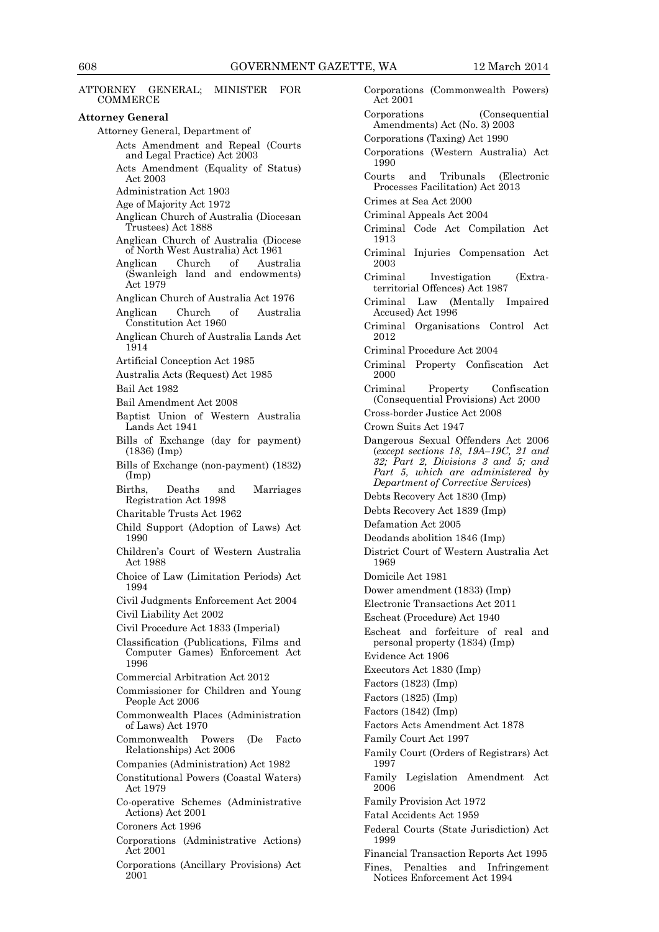COMMERCE **Attorney General** Attorney General, Department of Acts Amendment and Repeal (Courts and Legal Practice) Act 2003 Acts Amendment (Equality of Status) Act 2003 Administration Act 1903 Age of Majority Act 1972 Anglican Church of Australia (Diocesan Trustees) Act 1888 Anglican Church of Australia (Diocese of North West Australia) Act 1961 Anglican Church of Australia (Swanleigh land and endowments) Act 1979 Anglican Church of Australia Act 1976 Anglican Church of Australia Constitution Act 1960 Anglican Church of Australia Lands Act 1914 Artificial Conception Act 1985 Australia Acts (Request) Act 1985 Bail Act 1982 Bail Amendment Act 2008 Baptist Union of Western Australia Lands Act 1941 Bills of Exchange (day for payment) (1836) (Imp) Bills of Exchange (non-payment) (1832) (Imp) Births, Deaths and Marriages Registration Act 1998 Charitable Trusts Act 1962 Child Support (Adoption of Laws) Act 1990 Children's Court of Western Australia Act 1988 Choice of Law (Limitation Periods) Act 1994 Civil Judgments Enforcement Act 2004 Civil Liability Act 2002 Civil Procedure Act 1833 (Imperial) Classification (Publications, Films and Computer Games) Enforcement Act 1996 Commercial Arbitration Act 2012 Commissioner for Children and Young People Act 2006 Commonwealth Places (Administration of Laws) Act 1970 Commonwealth Powers (De Facto Relationships) Act 2006 Companies (Administration) Act 1982 Constitutional Powers (Coastal Waters) Act 1979 Co-operative Schemes (Administrative Actions) Act 2001 Coroners Act 1996 Corporations (Administrative Actions) Act 2001 Corporations (Ancillary Provisions) Act 2001

ATTORNEY GENERAL; MINISTER FOR

Corporations (Commonwealth Powers) Act 2001 Corporations (Consequential Amendments) Act (No. 3) 2003 Corporations (Taxing) Act 1990 Corporations (Western Australia) Act 1990 Courts and Tribunals (Electronic Processes Facilitation) Act 2013 Crimes at Sea Act 2000 Criminal Appeals Act 2004 Criminal Code Act Compilation Act 1913 Criminal Injuries Compensation Act 2003 Criminal Investigation (Extraterritorial Offences) Act 1987 Criminal Law (Mentally Impaired Accused) Act 1996 Criminal Organisations Control Act 2012 Criminal Procedure Act 2004 Criminal Property Confiscation Act 2000 Criminal Property Confiscation (Consequential Provisions) Act 2000 Cross-border Justice Act 2008 Crown Suits Act 1947 Dangerous Sexual Offenders Act 2006 (*except sections 18, 19A–19C, 21 and 32; Part 2, Divisions 3 and 5; and Part 5, which are administered by Department of Corrective Services*) Debts Recovery Act 1830 (Imp) Debts Recovery Act 1839 (Imp) Defamation Act 2005 Deodands abolition 1846 (Imp) District Court of Western Australia Act 1969 Domicile Act 1981 Dower amendment (1833) (Imp) Electronic Transactions Act 2011 Escheat (Procedure) Act 1940 Escheat and forfeiture of real and personal property (1834) (Imp) Evidence Act 1906 Executors Act 1830 (Imp) Factors (1823) (Imp) Factors (1825) (Imp) Factors (1842) (Imp) Factors Acts Amendment Act 1878 Family Court Act 1997 Family Court (Orders of Registrars) Act 1997 Family Legislation Amendment Act 2006 Family Provision Act 1972 Fatal Accidents Act 1959 Federal Courts (State Jurisdiction) Act 1999 Financial Transaction Reports Act 1995 Fines, Penalties and Infringement

Notices Enforcement Act 1994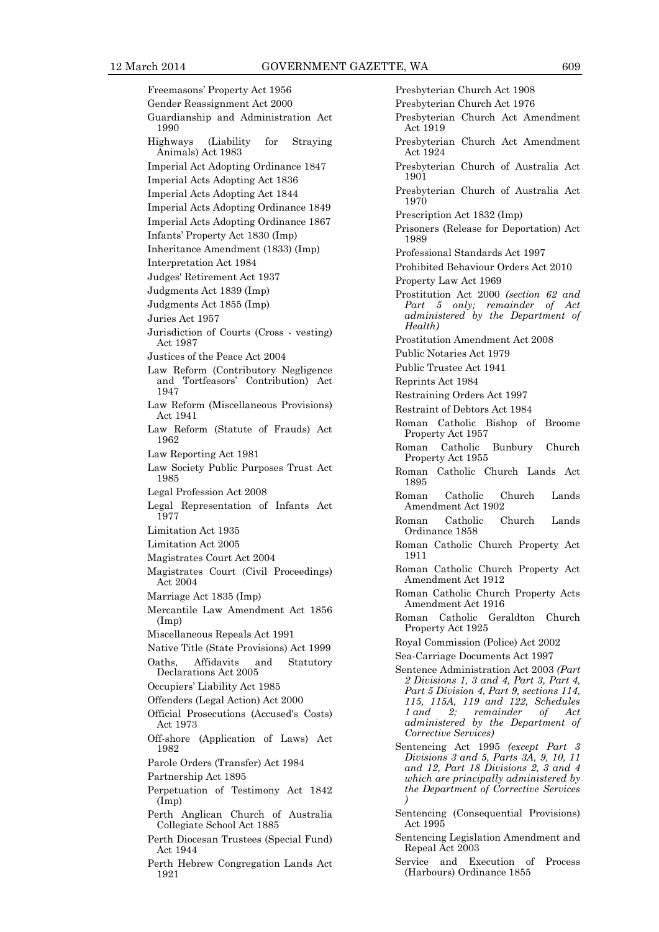Freemasons' Property Act 1956 Gender Reassignment Act 2000 Guardianship and Administration Act 1990 Highways (Liability for Straying Animals) Act 1983 Imperial Act Adopting Ordinance 1847 Imperial Acts Adopting Act 1836 Imperial Acts Adopting Act 1844 Imperial Acts Adopting Ordinance 1849 Imperial Acts Adopting Ordinance 1867 Infants' Property Act 1830 (Imp) Inheritance Amendment (1833) (Imp) Interpretation Act 1984 Judges' Retirement Act 1937 Judgments Act 1839 (Imp) Judgments Act 1855 (Imp) Juries Act 1957 Jurisdiction of Courts (Cross - vesting) Act 1987 Justices of the Peace Act 2004 Law Reform (Contributory Negligence and Tortfeasors' Contribution) Act 1947 Law Reform (Miscellaneous Provisions) Act 1941 Law Reform (Statute of Frauds) Act 1962 Law Reporting Act 1981 Law Society Public Purposes Trust Act 1985 Legal Profession Act 2008 Legal Representation of Infants Act 1977 Limitation Act 1935 Limitation Act 2005 Magistrates Court Act 2004 Magistrates Court (Civil Proceedings) Act 2004 Marriage Act 1835 (Imp) Mercantile Law Amendment Act 1856 (Imp) Miscellaneous Repeals Act 1991 Native Title (State Provisions) Act 1999 Oaths, Affidavits and Statutory Declarations Act 2005 Occupiers' Liability Act 1985 Offenders (Legal Action) Act 2000 Official Prosecutions (Accused's Costs) Act 1973 Off-shore (Application of Laws) Act 1982 Parole Orders (Transfer) Act 1984 Partnership Act 1895 Perpetuation of Testimony Act 1842 (Imp) Perth Anglican Church of Australia Collegiate School Act 1885 Perth Diocesan Trustees (Special Fund) Act 1944 Perth Hebrew Congregation Lands Act

1921

Presbyterian Church Act 1908 Presbyterian Church Act 1976 Presbyterian Church Act Amendment Act 1919 Presbyterian Church Act Amendment Act 1924 Presbyterian Church of Australia Act 1901 Presbyterian Church of Australia Act 1970 Prescription Act 1832 (Imp) Prisoners (Release for Deportation) Act 1989 Professional Standards Act 1997 Prohibited Behaviour Orders Act 2010 Property Law Act 1969 Prostitution Act 2000 *(section 62 and Part 5 only; remainder of Act administered by the Department of Health)* Prostitution Amendment Act 2008 Public Notaries Act 1979 Public Trustee Act 1941 Reprints Act 1984 Restraining Orders Act 1997 Restraint of Debtors Act 1984 Roman Catholic Bishop of Broome Property Act 1957 Roman Catholic Bunbury Church Property Act 1955 Roman Catholic Church Lands Act 1895 Roman Catholic Church Lands Amendment Act 1902 Roman Catholic Church Lands Ordinance 1858 Roman Catholic Church Property Act 1911 Roman Catholic Church Property Act Amendment Act 1912 Roman Catholic Church Property Acts Amendment Act 1916 Roman Catholic Geraldton Church Property Act 1925 Royal Commission (Police) Act 2002 Sea-Carriage Documents Act 1997 Sentence Administration Act 2003 *(Part 2 Divisions 1, 3 and 4, Part 3, Part 4, Part 5 Division 4, Part 9, sections 114, 115, 115A, 119 and 122, Schedules 1 and 2; remainder of Act administered by the Department of Corrective Services)* Sentencing Act 1995 *(except Part 3 Divisions 3 and 5, Parts 3A, 9, 10, 11 and 12, Part 18 Divisions 2, 3 and 4 which are principally administered by the Department of Corrective Services )* Sentencing (Consequential Provisions) Act 1995 Sentencing Legislation Amendment and Repeal Act 2003 Service and Execution of Process (Harbours) Ordinance 1855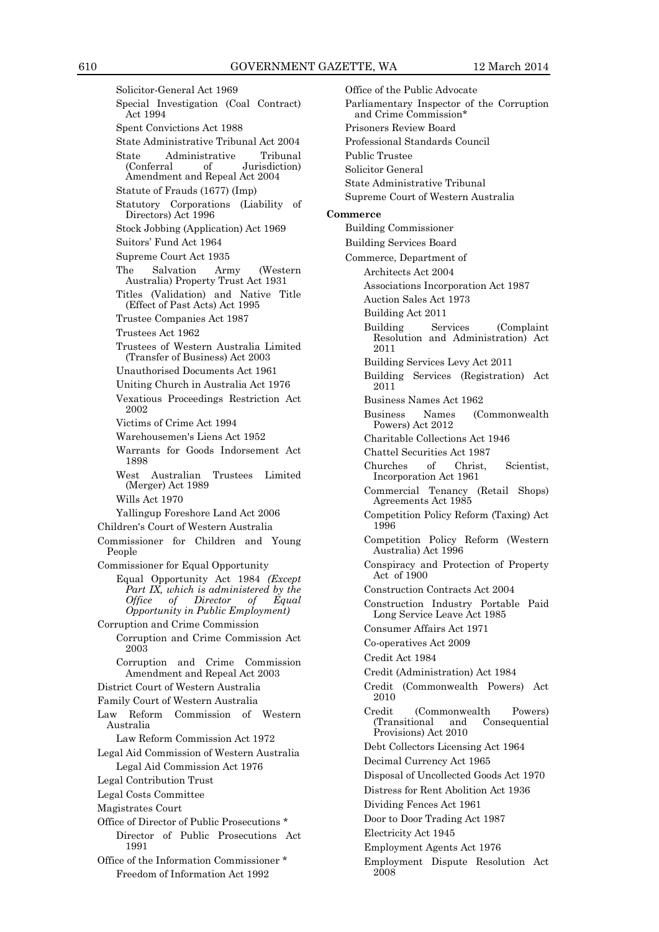Solicitor-General Act 1969 Special Investigation (Coal Contract) Act 1994 Spent Convictions Act 1988 State Administrative Tribunal Act 2004 State Administrative Tribunal<br>
(Conferral of Jurisdiction) Jurisdiction) Amendment and Repeal Act 2004 Statute of Frauds (1677) (Imp) Statutory Corporations (Liability of Directors) Act 1996 Stock Jobbing (Application) Act 1969 Suitors' Fund Act 1964 Supreme Court Act 1935 The Salvation Army (Western Australia) Property Trust Act 1931 Titles (Validation) and Native Title (Effect of Past Acts) Act 1995 Trustee Companies Act 1987 Trustees Act 1962 Trustees of Western Australia Limited (Transfer of Business) Act 2003 Unauthorised Documents Act 1961 Uniting Church in Australia Act 1976 Vexatious Proceedings Restriction Act 2002 Victims of Crime Act 1994 Warehousemen's Liens Act 1952 Warrants for Goods Indorsement Act 1898 West Australian Trustees Limited (Merger) Act 1989 Wills Act 1970 Yallingup Foreshore Land Act 2006 Children's Court of Western Australia Commissioner for Children and Young People Commissioner for Equal Opportunity Equal Opportunity Act 1984 *(Except Part IX, which is administered by the Office of Director of Equal Opportunity in Public Employment)* Corruption and Crime Commission Corruption and Crime Commission Act 2003 Corruption and Crime Commission Amendment and Repeal Act 2003 District Court of Western Australia Family Court of Western Australia Law Reform Commission of Western Australia Law Reform Commission Act 1972 Legal Aid Commission of Western Australia Legal Aid Commission Act 1976 Legal Contribution Trust Legal Costs Committee Magistrates Court Office of Director of Public Prosecutions \* Director of Public Prosecutions Act 1991 Office of the Information Commissioner \* Freedom of Information Act 1992

Office of the Public Advocate Parliamentary Inspector of the Corruption and Crime Commission\* Prisoners Review Board Professional Standards Council Public Trustee Solicitor General State Administrative Tribunal Supreme Court of Western Australia **Commerce** Building Commissioner Building Services Board Commerce, Department of Architects Act 2004 Associations Incorporation Act 1987 Auction Sales Act 1973 Building Act 2011 Building Services (Complaint Resolution and Administration) Act 2011 Building Services Levy Act 2011 Building Services (Registration) Act 2011 Business Names Act 1962 Business Names (Commonwealth Powers) Act 2012 Charitable Collections Act 1946 Chattel Securities Act 1987 Churches of Christ, Scientist, Incorporation Act 1961 Commercial Tenancy (Retail Shops) Agreements Act 1985 Competition Policy Reform (Taxing) Act 1996 Competition Policy Reform (Western Australia) Act 1996 Conspiracy and Protection of Property Act of 1900 Construction Contracts Act 2004 Construction Industry Portable Paid Long Service Leave Act 1985 Consumer Affairs Act 1971 Co-operatives Act 2009 Credit Act 1984 Credit (Administration) Act 1984 Credit (Commonwealth Powers) Act 2010 Credit (Commonwealth Powers) Consequential Provisions) Act 2010 Debt Collectors Licensing Act 1964 Decimal Currency Act 1965 Disposal of Uncollected Goods Act 1970 Distress for Rent Abolition Act 1936 Dividing Fences Act 1961 Door to Door Trading Act 1987 Electricity Act 1945 Employment Agents Act 1976 Employment Dispute Resolution Act 2008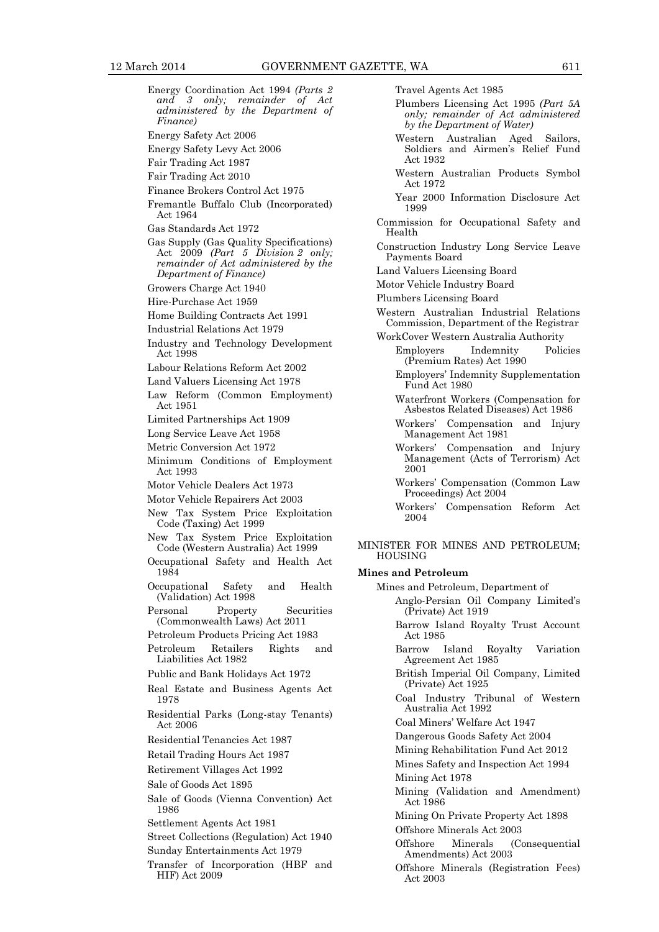Energy Coordination Act 1994 *(Parts 2 and 3 only; remainder of Act administered by the Department of Finance)* Energy Safety Act 2006 Energy Safety Levy Act 2006 Fair Trading Act 1987 Fair Trading Act 2010 Finance Brokers Control Act 1975 Fremantle Buffalo Club (Incorporated) Act 1964 Gas Standards Act 1972 Gas Supply (Gas Quality Specifications) Act 2009 *(Part 5 Division 2 only; remainder of Act administered by the Department of Finance)* Growers Charge Act 1940 Hire-Purchase Act 1959 Home Building Contracts Act 1991 Industrial Relations Act 1979 Industry and Technology Development Act 1998 Labour Relations Reform Act 2002 Land Valuers Licensing Act 1978 Law Reform (Common Employment) Act 1951 Limited Partnerships Act 1909 Long Service Leave Act 1958 Metric Conversion Act 1972 Minimum Conditions of Employment Act 1993 Motor Vehicle Dealers Act 1973 Motor Vehicle Repairers Act 2003 New Tax System Price Exploitation Code (Taxing) Act 1999 New Tax System Price Exploitation Code (Western Australia) Act 1999 Occupational Safety and Health Act 1984 Occupational Safety and Health (Validation) Act 1998 Personal Property Securities (Commonwealth Laws) Act 2011 Petroleum Products Pricing Act 1983 Petroleum Retailers Rights and Liabilities Act 1982 Public and Bank Holidays Act 1972 Real Estate and Business Agents Act 1978 Residential Parks (Long-stay Tenants) Act 2006 Residential Tenancies Act 1987 Retail Trading Hours Act 1987 Retirement Villages Act 1992 Sale of Goods Act 1895 Sale of Goods (Vienna Convention) Act 1986 Settlement Agents Act 1981 Street Collections (Regulation) Act 1940 Sunday Entertainments Act 1979 Transfer of Incorporation (HBF and

HIF) Act 2009

Travel Agents Act 1985

- Plumbers Licensing Act 1995 *(Part 5A only; remainder of Act administered by the Department of Water)*
- Western Australian Aged Sailors, Soldiers and Airmen's Relief Fund Act 1932
- Western Australian Products Symbol Act 1972
- Year 2000 Information Disclosure Act 1999
- Commission for Occupational Safety and Health
- Construction Industry Long Service Leave Payments Board
- Land Valuers Licensing Board
- Motor Vehicle Industry Board
- Plumbers Licensing Board
- Western Australian Industrial Relations Commission, Department of the Registrar
- WorkCover Western Australia Authority Employers Indemnity Policies (Premium Rates) Act 1990
	- Employers' Indemnity Supplementation Fund Act 1980
	- Waterfront Workers (Compensation for Asbestos Related Diseases) Act 1986
	- Workers' Compensation and Injury Management Act 1981
	- Workers' Compensation and Injury Management (Acts of Terrorism) Act 2001
	- Workers' Compensation (Common Law Proceedings) Act 2004
	- Workers' Compensation Reform Act 2004

#### MINISTER FOR MINES AND PETROLEUM; **HOUSING**

#### **Mines and Petroleum**

Mines and Petroleum, Department of

- Anglo-Persian Oil Company Limited's (Private) Act 1919
- Barrow Island Royalty Trust Account Act 1985
- Barrow Island Royalty Variation Agreement Act 1985
- British Imperial Oil Company, Limited (Private) Act 1925
- Coal Industry Tribunal of Western Australia Act 1992
- Coal Miners' Welfare Act 1947
- Dangerous Goods Safety Act 2004
- Mining Rehabilitation Fund Act 2012

Mines Safety and Inspection Act 1994

Mining Act 1978

- Mining (Validation and Amendment) Act 1986
- Mining On Private Property Act 1898

Offshore Minerals Act 2003

- Offshore Minerals (Consequential Amendments) Act 2003
- Offshore Minerals (Registration Fees) Act 2003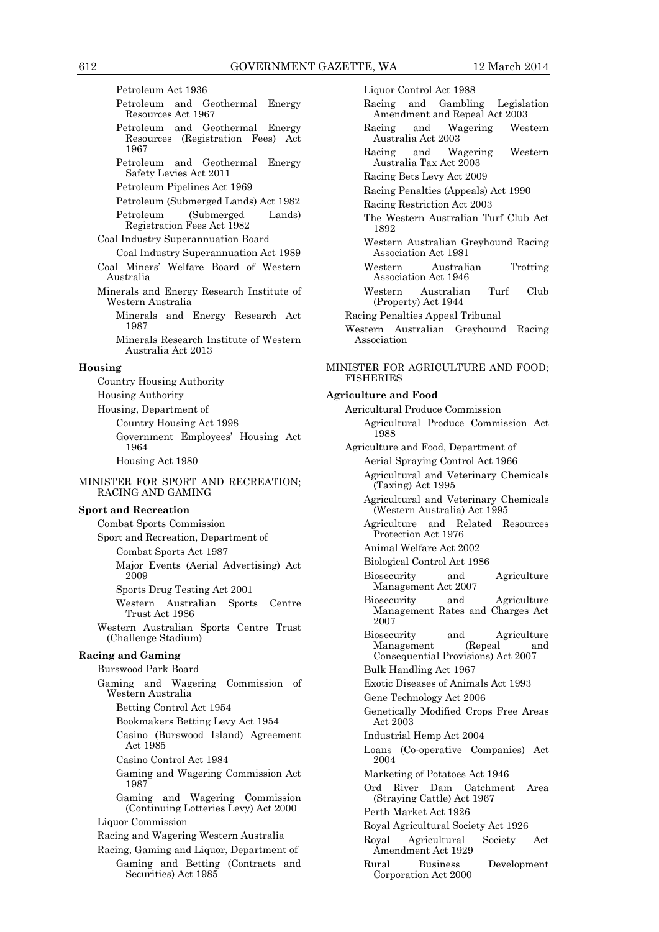Petroleum Act 1936 Petroleum and Geothermal Energy Resources Act 1967 Petroleum and Geothermal Energy Resources (Registration Fees) Act 1967 Petroleum and Geothermal Energy Safety Levies Act 2011 Petroleum Pipelines Act 1969 Petroleum (Submerged Lands) Act 1982 Petroleum (Submerged Lands) Registration Fees Act 1982 Coal Industry Superannuation Board Coal Industry Superannuation Act 1989 Coal Miners' Welfare Board of Western Australia Minerals and Energy Research Institute of Western Australia Minerals and Energy Research Act 1987 Minerals Research Institute of Western Australia Act 2013 **Housing** Country Housing Authority Housing Authority Housing, Department of Country Housing Act 1998 Government Employees' Housing Act 1964 Housing Act 1980 MINISTER FOR SPORT AND RECREATION; RACING AND GAMING **Sport and Recreation** Combat Sports Commission Sport and Recreation, Department of Combat Sports Act 1987 Major Events (Aerial Advertising) Act 2009 Sports Drug Testing Act 2001 Western Australian Sports Centre Trust Act 1986 Western Australian Sports Centre Trust (Challenge Stadium) **Racing and Gaming** Burswood Park Board Gaming and Wagering Commission of Western Australia Betting Control Act 1954 Bookmakers Betting Levy Act 1954 Casino (Burswood Island) Agreement Act 1985 Casino Control Act 1984 Gaming and Wagering Commission Act 1987 Gaming and Wagering Commission (Continuing Lotteries Levy) Act 2000 Liquor Commission Racing and Wagering Western Australia Racing, Gaming and Liquor, Department of Gaming and Betting (Contracts and Securities) Act 1985

Liquor Control Act 1988 Racing and Gambling Legislation Amendment and Repeal Act 2003 Racing and Wagering Western Australia Act 2003 Racing and Wagering Western Australia Tax Act 2003 Racing Bets Levy Act 2009 Racing Penalties (Appeals) Act 1990 Racing Restriction Act 2003 The Western Australian Turf Club Act 1892 Western Australian Greyhound Racing Association Act 1981 Western Australian Trotting Association Act 1946 Western Australian Turf Club (Property) Act 1944 Racing Penalties Appeal Tribunal Western Australian Greyhound Racing Association MINISTER FOR AGRICULTURE AND FOOD; FISHERIES **Agriculture and Food**  Agricultural Produce Commission Agricultural Produce Commission Act 1988 Agriculture and Food, Department of Aerial Spraying Control Act 1966 Agricultural and Veterinary Chemicals (Taxing) Act 1995 Agricultural and Veterinary Chemicals (Western Australia) Act 1995 Agriculture and Related Resources Protection Act 1976 Animal Welfare Act 2002 Biological Control Act 1986 Biosecurity and Agriculture Management Act 2007 Biosecurity and Agriculture Management Rates and Charges Act 2007 Biosecurity and Agriculture<br>Management (Repeal and Management (Repeal and Consequential Provisions) Act 2007 Bulk Handling Act 1967 Exotic Diseases of Animals Act 1993 Gene Technology Act 2006 Genetically Modified Crops Free Areas Act 2003 Industrial Hemp Act 2004 Loans (Co-operative Companies) Act 2004 Marketing of Potatoes Act 1946 Ord River Dam Catchment Area (Straying Cattle) Act 1967 Perth Market Act 1926 Royal Agricultural Society Act 1926 Royal Agricultural Society Act Amendment Act 1929 Rural Business Development

Corporation Act 2000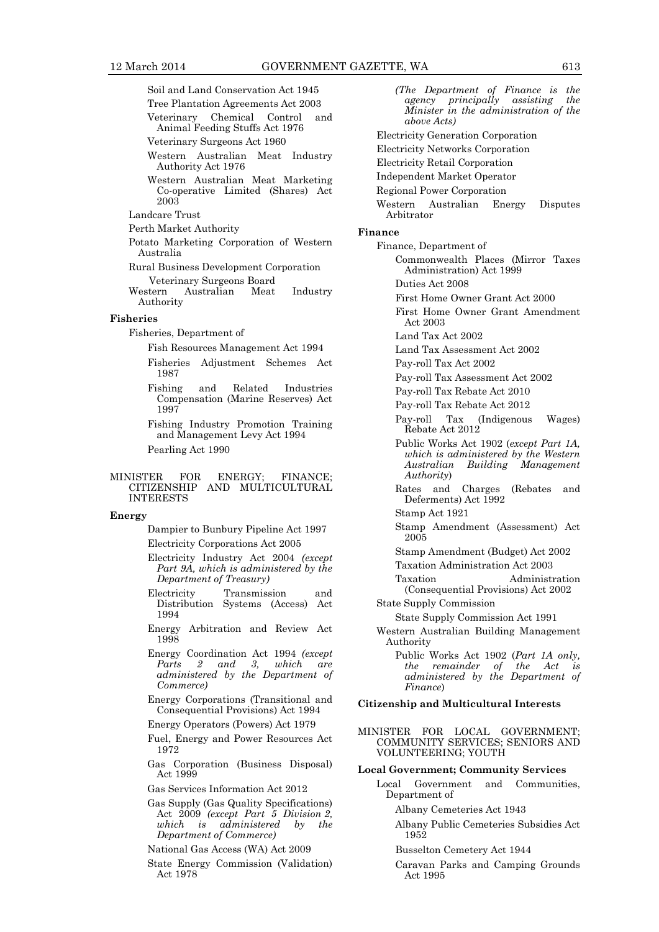Soil and Land Conservation Act 1945

- Tree Plantation Agreements Act 2003 Veterinary Chemical Control and Animal Feeding Stuffs Act 1976
- Veterinary Surgeons Act 1960
- Western Australian Meat Industry Authority Act 1976
- Western Australian Meat Marketing Co-operative Limited (Shares) Act 2003
- Landcare Trust
- Perth Market Authority
- Potato Marketing Corporation of Western Australia
- Rural Business Development Corporation
- Veterinary Surgeons Board Australian Meat Industry Authority

#### **Fisheries**

Fisheries, Department of

Fish Resources Management Act 1994

- Fisheries Adjustment Schemes Act 1987
- Fishing and Related Industries Compensation (Marine Reserves) Act 1997
- Fishing Industry Promotion Training and Management Levy Act 1994 Pearling Act 1990
- 

#### MINISTER FOR ENERGY; FINANCE; CITIZENSHIP AND MULTICULTURAL INTERESTS

#### **Energy**

Dampier to Bunbury Pipeline Act 1997 Electricity Corporations Act 2005

- Electricity Industry Act 2004 *(except Part 9A, which is administered by the Department of Treasury)*
- Electricity Transmission and Distribution Systems (Access) Act 1994
- Energy Arbitration and Review Act 1998
- Energy Coordination Act 1994 *(except Parts 2 and 3, which are administered by the Department of Commerce)*
- Energy Corporations (Transitional and Consequential Provisions) Act 1994
- Energy Operators (Powers) Act 1979
- Fuel, Energy and Power Resources Act 1972
- Gas Corporation (Business Disposal) Act 1999
- Gas Services Information Act 2012
- Gas Supply (Gas Quality Specifications) Act 2009 *(except Part 5 Division 2, which is administered by the Department of Commerce)*
- National Gas Access (WA) Act 2009
- State Energy Commission (Validation) Act 1978
- *(The Department of Finance is the agency principally assisting Minister in the administration of the above Acts)* Electricity Generation Corporation Electricity Networks Corporation Electricity Retail Corporation Independent Market Operator Regional Power Corporation Western Australian Energy Disputes Arbitrator **Finance** Finance, Department of Commonwealth Places (Mirror Taxes Administration) Act 1999 Duties Act 2008 First Home Owner Grant Act 2000 First Home Owner Grant Amendment Act 2003 Land Tax Act 2002 Land Tax Assessment Act 2002 Pay-roll Tax Act 2002 Pay-roll Tax Assessment Act 2002 Pay-roll Tax Rebate Act 2010 Pay-roll Tax Rebate Act 2012 Pay-roll Tax (Indigenous Wages) Rebate Act 2012 Public Works Act 1902 (*except Part 1A, which is administered by the Western Australian Building Management Authority*) Rates and Charges (Rebates and Deferments) Act 1992 Stamp Act 1921 Stamp Amendment (Assessment) Act 2005 Stamp Amendment (Budget) Act 2002 Taxation Administration Act 2003 Taxation Administration (Consequential Provisions) Act 2002 State Supply Commission State Supply Commission Act 1991 Western Australian Building Management Authority Public Works Act 1902 (*Part 1A only, the remainder of the Act is administered by the Department of Finance*) **Citizenship and Multicultural Interests** MINISTER FOR LOCAL GOVERNMENT; COMMUNITY SERVICES; SENIORS AND VOLUNTEERING; YOUTH **Local Government; Community Services** Local Government and Communities, Department of
	- Albany Cemeteries Act 1943
	- Albany Public Cemeteries Subsidies Act 1952

Busselton Cemetery Act 1944

Caravan Parks and Camping Grounds Act 1995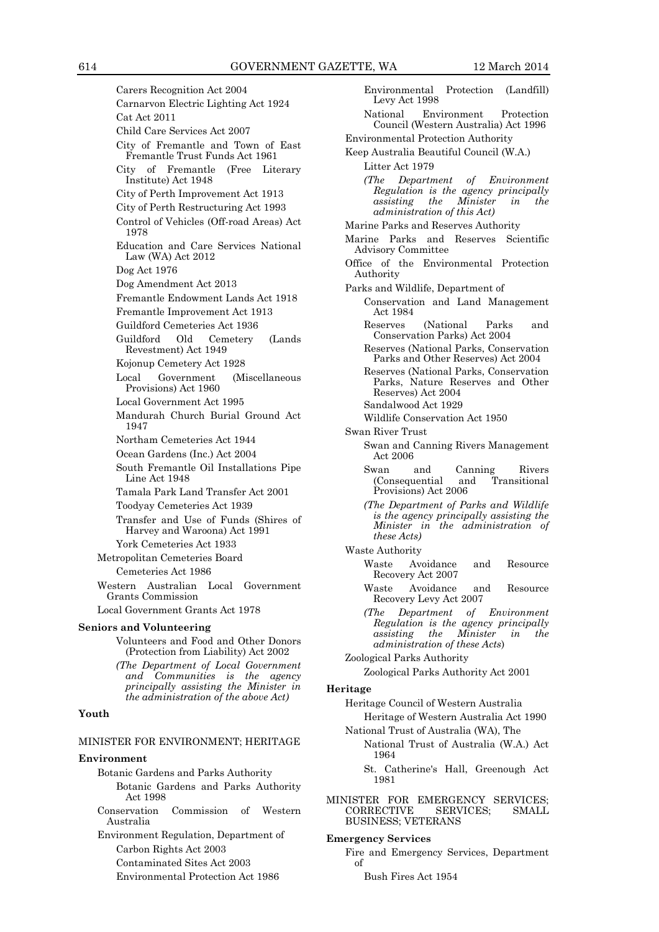Carers Recognition Act 2004 Carnarvon Electric Lighting Act 1924 Cat Act 2011 Child Care Services Act 2007 City of Fremantle and Town of East Fremantle Trust Funds Act 1961 City of Fremantle (Free Literary Institute) Act 1948 City of Perth Improvement Act 1913 City of Perth Restructuring Act 1993 Control of Vehicles (Off-road Areas) Act 1978 Education and Care Services National Law (WA) Act 2012 Dog Act 1976 Dog Amendment Act 2013 Fremantle Endowment Lands Act 1918 Fremantle Improvement Act 1913 Guildford Cemeteries Act 1936 Guildford Old Cemetery (Lands Revestment) Act 1949 Kojonup Cemetery Act 1928 Local Government (Miscellaneous Provisions) Act 1960 Local Government Act 1995 Mandurah Church Burial Ground Act 1947 Northam Cemeteries Act 1944 Ocean Gardens (Inc.) Act 2004 South Fremantle Oil Installations Pipe Line Act 1948 Tamala Park Land Transfer Act 2001 Toodyay Cemeteries Act 1939 Transfer and Use of Funds (Shires of Harvey and Waroona) Act 1991 York Cemeteries Act 1933 Metropolitan Cemeteries Board Cemeteries Act 1986 Western Australian Local Government Grants Commission Local Government Grants Act 1978 **Seniors and Volunteering** Volunteers and Food and Other Donors (Protection from Liability) Act 2002 *(The Department of Local Government and Communities is the agency principally assisting the Minister in the administration of the above Act)*

#### **Youth**

#### MINISTER FOR ENVIRONMENT; HERITAGE

#### **Environment**

- Botanic Gardens and Parks Authority Botanic Gardens and Parks Authority Act 1998
- Conservation Commission of Western Australia

Environment Regulation, Department of Carbon Rights Act 2003 Contaminated Sites Act 2003

Environmental Protection Act 1986

Environmental Protection (Landfill) Levy Act 1998 National Environment Protection Council (Western Australia) Act 1996 Environmental Protection Authority Keep Australia Beautiful Council (W.A.) Litter Act 1979 *(The Department of Environment Regulation is the agency principally assisting the Minister in the administration of this Act)* Marine Parks and Reserves Authority Marine Parks and Reserves Scientific Advisory Committee Office of the Environmental Protection Authority Parks and Wildlife, Department of Conservation and Land Management Act 1984 Reserves (National Parks and Conservation Parks) Act 2004 Reserves (National Parks, Conservation Parks and Other Reserves) Act 2004 Reserves (National Parks, Conservation Parks, Nature Reserves and Other Reserves) Act 2004 Sandalwood Act 1929 Wildlife Conservation Act 1950 Swan River Trust Swan and Canning Rivers Management Act 2006 Swan and Canning Rivers<br>(Consequential and Transitional (Consequential Provisions) Act 2006 *(The Department of Parks and Wildlife is the agency principally assisting the Minister in the administration of these Acts)* Waste Authority Waste Avoidance and Resource Recovery Act 2007 Waste Avoidance and Resource Recovery Levy Act 2007 *(The Department of Environment Regulation is the agency principally assisting the Minister in the administration of these Acts*) Zoological Parks Authority Zoological Parks Authority Act 2001 **Heritage** Heritage Council of Western Australia Heritage of Western Australia Act 1990 National Trust of Australia (WA), The National Trust of Australia (W.A.) Act 1964 St. Catherine's Hall, Greenough Act 1981

MINISTER FOR EMERGENCY SERVICES;<br>CORRECTIVE SERVICES; SMALL CORRECTIVE SERVICES; SMALL BUSINESS; VETERANS

#### **Emergency Services**

- Fire and Emergency Services, Department of
	- Bush Fires Act 1954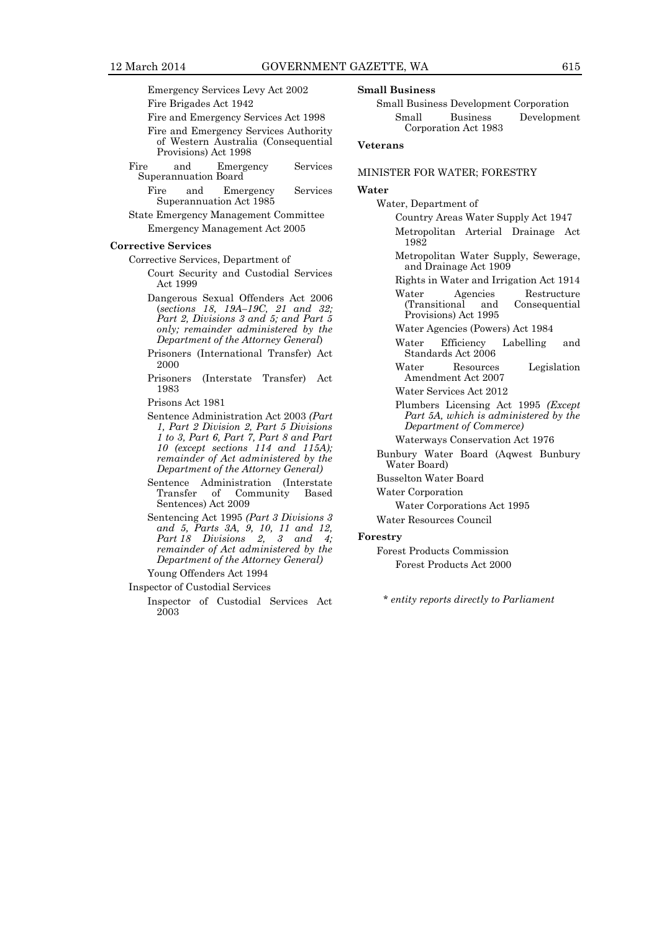Emergency Services Levy Act 2002

Fire Brigades Act 1942

Fire and Emergency Services Act 1998

- Fire and Emergency Services Authority of Western Australia (Consequential Provisions) Act 1998
- Fire and Emergency Services Superannuation Board
	- Fire and Emergency Services Superannuation Act 1985
- State Emergency Management Committee Emergency Management Act 2005

#### **Corrective Services**

Corrective Services, Department of

- Court Security and Custodial Services Act 1999
- Dangerous Sexual Offenders Act 2006 (*sections 18, 19A–19C, 21 and 32; Part 2, Divisions 3 and 5; and Part 5 only; remainder administered by the Department of the Attorney General*)
- Prisoners (International Transfer) Act 2000

Prisoners (Interstate Transfer) Act 1983

Prisons Act 1981

- Sentence Administration Act 2003 *(Part 1, Part 2 Division 2, Part 5 Divisions 1 to 3, Part 6, Part 7, Part 8 and Part 10 (except sections 114 and 115A); remainder of Act administered by the Department of the Attorney General)*
- Sentence Administration (Interstate<br>Transfer of Community Based Community Sentences) Act 2009
- Sentencing Act 1995 *(Part 3 Divisions 3 and 5, Parts 3A, 9, 10, 11 and 12, Part 18 Divisions 2, 3 and 4; remainder of Act administered by the Department of the Attorney General)*

Young Offenders Act 1994

- Inspector of Custodial Services
	- Inspector of Custodial Services Act 2003

#### **Small Business**

Small Business Development Corporation Small Business Development Corporation Act 1983

#### **Veterans**

#### MINISTER FOR WATER; FORESTRY

#### **Water**

Water, Department of Country Areas Water Supply Act 1947

- Metropolitan Arterial Drainage Act 1982
- Metropolitan Water Supply, Sewerage, and Drainage Act 1909
- Rights in Water and Irrigation Act 1914 Water Agencies Restructure<br>(Transitional and Consequential Consequential Provisions) Act 1995
- Water Agencies (Powers) Act 1984
- Water Efficiency Labelling and Standards Act 2006
- Water Resources Legislation Amendment Act 2007
- Water Services Act 2012
- Plumbers Licensing Act 1995 *(Except Part 5A, which is administered by the Department of Commerce)*

Waterways Conservation Act 1976

- Bunbury Water Board (Aqwest Bunbury Water Board)
- Busselton Water Board

Water Corporation

- Water Corporations Act 1995
- Water Resources Council

#### **Forestry**

Forest Products Commission Forest Products Act 2000

*\* entity reports directly to Parliament*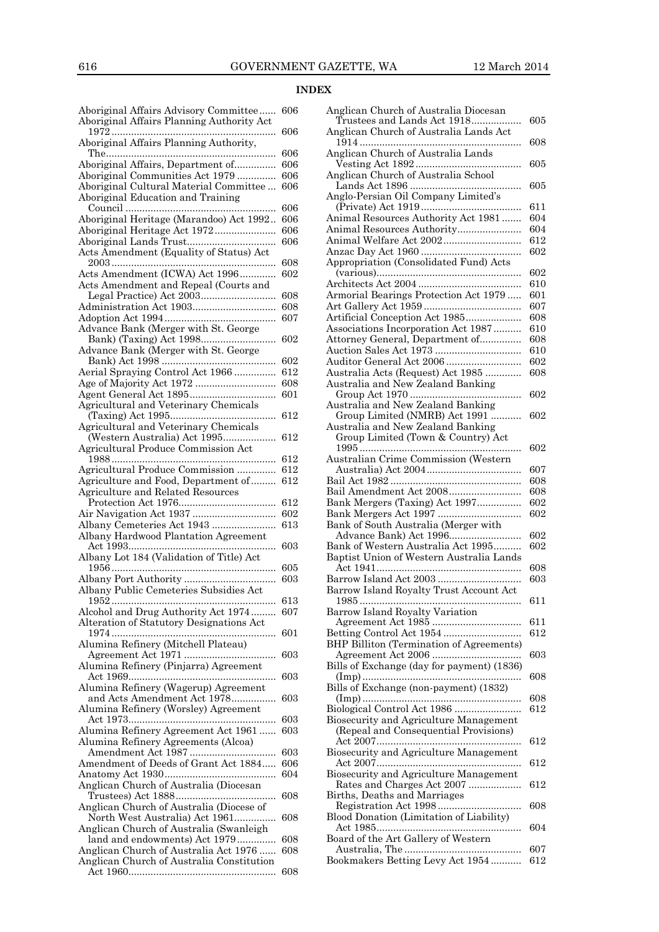## **INDEX**

| Aboriginal Affairs Advisory Committee<br>Aboriginal Affairs Planning Authority Act | 606 |
|------------------------------------------------------------------------------------|-----|
| Aboriginal Affairs Planning Authority,                                             | 606 |
|                                                                                    | 606 |
| Aboriginal Affairs, Department of                                                  | 606 |
| Aboriginal Communities Act 1979                                                    | 606 |
| Aboriginal Cultural Material Committee                                             | 606 |
| Aboriginal Education and Training                                                  |     |
|                                                                                    | 606 |
| Aboriginal Heritage (Marandoo) Act 1992                                            | 606 |
| Aboriginal Heritage Act 1972                                                       | 606 |
|                                                                                    | 606 |
| Acts Amendment (Equality of Status) Act                                            | 608 |
| Acts Amendment (ICWA) Act 1996                                                     | 602 |
| Acts Amendment and Repeal (Courts and                                              |     |
|                                                                                    | 608 |
|                                                                                    | 608 |
|                                                                                    | 607 |
| Advance Bank (Merger with St. George                                               |     |
|                                                                                    | 602 |
| Advance Bank (Merger with St. George                                               |     |
|                                                                                    | 602 |
| Aerial Spraying Control Act 1966                                                   | 612 |
|                                                                                    | 608 |
|                                                                                    | 601 |
| Agricultural and Veterinary Chemicals                                              |     |
|                                                                                    | 612 |
| Agricultural and Veterinary Chemicals                                              |     |
| (Western Australia) Act 1995                                                       | 612 |
| Agricultural Produce Commission Act                                                |     |
|                                                                                    | 612 |
| Agricultural Produce Commission                                                    | 612 |
| Agriculture and Food, Department of                                                | 612 |
| Agriculture and Related Resources                                                  |     |
|                                                                                    | 612 |
|                                                                                    | 602 |
| Albany Cemeteries Act 1943                                                         | 613 |
| Albany Hardwood Plantation Agreement                                               |     |
|                                                                                    | 603 |
| Albany Lot 184 (Validation of Title) Act                                           |     |
|                                                                                    | 605 |
|                                                                                    | 603 |
| Albany Public Cemeteries Subsidies Act                                             |     |
|                                                                                    | 613 |
| Alcohol and Drug Authority Act 1974                                                | 607 |
| Alteration of Statutory Designations Act                                           |     |
|                                                                                    | 601 |
| Alumina Refinery (Mitchell Plateau)                                                |     |
|                                                                                    | 603 |
| Alumina Refinery (Pinjarra) Agreement                                              |     |
|                                                                                    | 603 |
|                                                                                    |     |
|                                                                                    |     |
| Alumina Refinery (Wagerup) Agreement                                               |     |
| and Acts Amendment Act 1978                                                        | 603 |
| Alumina Refinery (Worsley) Agreement                                               | 603 |
|                                                                                    | 603 |
| Alumina Refinery Agreement Act 1961                                                |     |
| Alumina Refinery Agreements (Alcoa)                                                | 603 |
|                                                                                    | 606 |
| Amendment of Deeds of Grant Act 1884                                               | 604 |
|                                                                                    |     |
| Anglican Church of Australia (Diocesan                                             | 608 |
|                                                                                    |     |
| Anglican Church of Australia (Diocese of                                           | 608 |
| North West Australia) Act 1961                                                     |     |
| Anglican Church of Australia (Swanleigh                                            | 608 |
| land and endowments) Act 1979                                                      | 608 |
| Anglican Church of Australia Act 1976<br>Anglican Church of Australia Constitution |     |
|                                                                                    | 608 |

| Anglican Church of Australia Diocesan                                   |            |
|-------------------------------------------------------------------------|------------|
| Trustees and Lands Act 1918                                             | 605        |
| Anglican Church of Australia Lands Act                                  |            |
|                                                                         | 608        |
| Anglican Church of Australia Lands                                      | 605        |
| Anglican Church of Australia School                                     |            |
|                                                                         | 605        |
| Anglo-Persian Oil Company Limited's                                     |            |
|                                                                         | 611        |
| Animal Resources Authority Act 1981                                     | 604        |
| Animal Resources Authority                                              | 604        |
| Animal Welfare Act 2002                                                 | 612<br>602 |
| Appropriation (Consolidated Fund) Acts                                  |            |
|                                                                         | 602        |
|                                                                         | 610        |
| Armorial Bearings Protection Act 1979                                   | 601        |
|                                                                         | 607        |
| Artificial Conception Act 1985                                          | 608        |
| Associations Incorporation Act 1987                                     | 610        |
| Attorney General, Department of                                         | 608        |
|                                                                         | 610        |
| Auditor General Act 2006                                                | 602        |
| Australia Acts (Request) Act 1985<br>Australia and New Zealand Banking  | 608        |
|                                                                         | 602        |
| Australia and New Zealand Banking                                       |            |
| Group Limited (NMRB) Act 1991                                           | 602        |
| Australia and New Zealand Banking                                       |            |
| Group Limited (Town & Country) Act                                      |            |
|                                                                         | 602        |
| Australian Crime Commission (Western                                    |            |
|                                                                         | 607        |
| Bail Amendment Act 2008                                                 | 608<br>608 |
| Bank Mergers (Taxing) Act 1997                                          | 602        |
|                                                                         | 602        |
| Bank of South Australia (Merger with                                    |            |
| Advance Bank) Act 1996                                                  | 602        |
| Bank of Western Australia Act 1995                                      | 602        |
| Baptist Union of Western Australia Lands                                |            |
|                                                                         | 608        |
|                                                                         | 603        |
| Barrow Island Royalty Trust Account Act                                 | 611        |
| $1985$<br>Barrow Island Royalty Variation                               |            |
|                                                                         | 611        |
| Betting Control Act 1954                                                | 612        |
| BHP Billiton (Termination of Agreements)                                |            |
|                                                                         | 603        |
| Bills of Exchange (day for payment) (1836)                              |            |
|                                                                         | 608        |
| Bills of Exchange (non-payment) (1832)                                  |            |
| Biological Control Act 1986                                             | 608<br>612 |
| Biosecurity and Agriculture Management                                  |            |
| (Repeal and Consequential Provisions)                                   |            |
|                                                                         | 612        |
| Biosecurity and Agriculture Management                                  |            |
|                                                                         |            |
| Biosecurity and Agriculture Management                                  | 612        |
|                                                                         |            |
| Rates and Charges Act 2007                                              | 612        |
| Births, Deaths and Marriages                                            |            |
|                                                                         | 608        |
| Blood Donation (Limitation of Liability)                                |            |
|                                                                         | 604        |
| Board of the Art Gallery of Western<br>Bookmakers Betting Levy Act 1954 | 607        |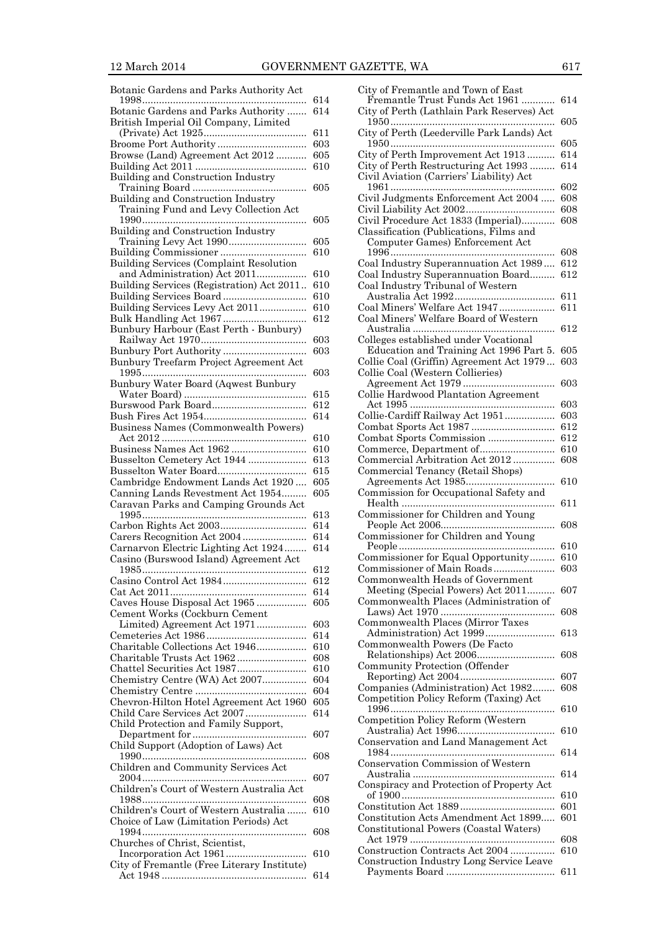| Botanic Gardens and Parks Authority Act                                 |            |
|-------------------------------------------------------------------------|------------|
| Botanic Gardens and Parks Authority                                     | 614<br>614 |
| British Imperial Oil Company, Limited                                   |            |
|                                                                         | 611<br>603 |
| Browse (Land) Agreement Act 2012                                        | 605        |
|                                                                         | 610        |
| Building and Construction Industry                                      | 605        |
| Building and Construction Industry                                      |            |
| Training Fund and Levy Collection Act                                   | 605        |
| Building and Construction Industry                                      |            |
|                                                                         | 605        |
| Building Services (Complaint Resolution                                 | 610        |
| and Administration) Act 2011                                            | 610        |
| Building Services (Registration) Act 2011                               | 610        |
| Building Services Board<br>Building Services Levy Act 2011              | 610<br>610 |
|                                                                         | 612        |
| Bunbury Harbour (East Perth - Bunbury)                                  |            |
| Bunbury Port Authority                                                  | 603<br>603 |
| Bunbury Treefarm Project Agreement Act                                  |            |
| Bunbury Water Board (Aqwest Bunbury                                     | 603        |
|                                                                         | 615        |
|                                                                         | 612        |
| Business Names (Commonwealth Powers)                                    | 614        |
|                                                                         | 610        |
|                                                                         | 610        |
| Busselton Cemetery Act 1944<br>Busselton Water Board                    | 613<br>615 |
| Cambridge Endowment Lands Act 1920                                      | 605        |
| Canning Lands Revestment Act 1954                                       | 605        |
| Caravan Parks and Camping Grounds Act                                   | 613        |
|                                                                         | 614        |
| Carnarvon Electric Lighting Act 1924                                    | 614<br>614 |
| Casino (Burswood Island) Agreement Act                                  |            |
|                                                                         | 612        |
|                                                                         | 612<br>614 |
| Caves House Disposal Act 1965                                           | 605        |
| Cement Works (Cockburn Cement                                           | 603        |
| Limited) Agreement Act 1971                                             | 614        |
| Charitable Collections Act 1946                                         | 610        |
| Charitable Trusts Act 1962<br>Chattel Securities Act 1987               | 608<br>610 |
| Chemistry Centre (WA) Act 2007                                          | 604        |
|                                                                         | 604        |
| Chevron-Hilton Hotel Agreement Act 1960<br>Child Care Services Act 2007 | 605<br>614 |
| Child Protection and Family Support,                                    |            |
|                                                                         | 607        |
| Child Support (Adoption of Laws) Act                                    | 608        |
| Children and Community Services Act                                     |            |
| Children's Court of Western Australia Act                               | 607        |
| 1988                                                                    | 608        |
| Children's Court of Western Australia                                   | 610        |
| Choice of Law (Limitation Periods) Act                                  | 608        |
| Churches of Christ, Scientist,                                          |            |
|                                                                         | 610        |
| City of Fremantle (Free Literary Institute)                             | 614        |

| City of Fremantle and Town of East<br>Fremantle Trust Funds Act 1961 | 614        |
|----------------------------------------------------------------------|------------|
|                                                                      |            |
| City of Perth (Lathlain Park Reserves) Act                           | 605        |
|                                                                      |            |
| City of Perth (Leederville Park Lands) Act                           |            |
| City of Perth Improvement Act 1913                                   | 605<br>614 |
| City of Perth Restructuring Act 1993                                 | 614        |
|                                                                      |            |
| Civil Aviation (Carriers' Liability) Act                             |            |
|                                                                      | 602        |
| Civil Judgments Enforcement Act 2004                                 | 608        |
|                                                                      | 608        |
| Civil Procedure Act 1833 (Imperial)                                  | 608        |
| Classification (Publications, Films and                              |            |
| Computer Games) Enforcement Act                                      |            |
|                                                                      | 608        |
| Coal Industry Superannuation Act 1989                                | 612        |
| Coal Industry Superannuation Board                                   | 612        |
| Coal Industry Tribunal of Western                                    |            |
|                                                                      | 611        |
| Coal Miners' Welfare Act 1947                                        | 611        |
| Coal Miners' Welfare Board of Western                                |            |
|                                                                      | 612        |
| Colleges established under Vocational                                |            |
| Education and Training Act 1996 Part 5.                              | 605        |
| Collie Coal (Griffin) Agreement Act 1979                             | 603        |
| Collie Coal (Western Collieries)                                     |            |
|                                                                      | 603        |
| Collie Hardwood Plantation Agreement                                 |            |
|                                                                      | 603        |
| Collie-Cardiff Railway Act 1951                                      | 603        |
|                                                                      | 612        |
| Combat Sports Commission                                             | 612        |
| Commerce, Department of                                              | 610        |
| Commercial Arbitration Act 2012                                      | 608        |
| Commercial Tenancy (Retail Shops)                                    |            |
|                                                                      | 610        |
| Commission for Occupational Safety and                               |            |
|                                                                      |            |
|                                                                      | 611        |
| Commissioner for Children and Young                                  |            |
|                                                                      | 608        |
| Commissioner for Children and Young                                  |            |
|                                                                      | 610        |
| Commissioner for Equal Opportunity                                   | 610        |
| Commissioner of Main Roads                                           | 603        |
| Commonwealth Heads of Government                                     |            |
| Meeting (Special Powers) Act 2011                                    | 607        |
| Commonwealth Places (Administration of                               |            |
|                                                                      | 608        |
| Commonwealth Places (Mirror Taxes                                    |            |
|                                                                      | 613        |
| Commonwealth Powers (De Facto                                        |            |
|                                                                      | 608        |
| Community Protection (Offender                                       |            |
|                                                                      | 607        |
| Companies (Administration) Act 1982                                  | 608        |
| Competition Policy Reform (Taxing) Act                               |            |
|                                                                      | 610        |
| Competition Policy Reform (Western                                   |            |
|                                                                      | 610        |
| Conservation and Land Management Act                                 |            |
|                                                                      | 614        |
| Conservation Commission of Western                                   | 614        |
|                                                                      |            |
| Conspiracy and Protection of Property Act                            | 610        |
|                                                                      | 601        |
| Constitution Acts Amendment Act 1899                                 | 601        |
|                                                                      |            |
| Constitutional Powers (Coastal Waters)                               | 608        |
| Construction Contracts Act 2004                                      | 610        |
| Construction Industry Long Service Leave                             |            |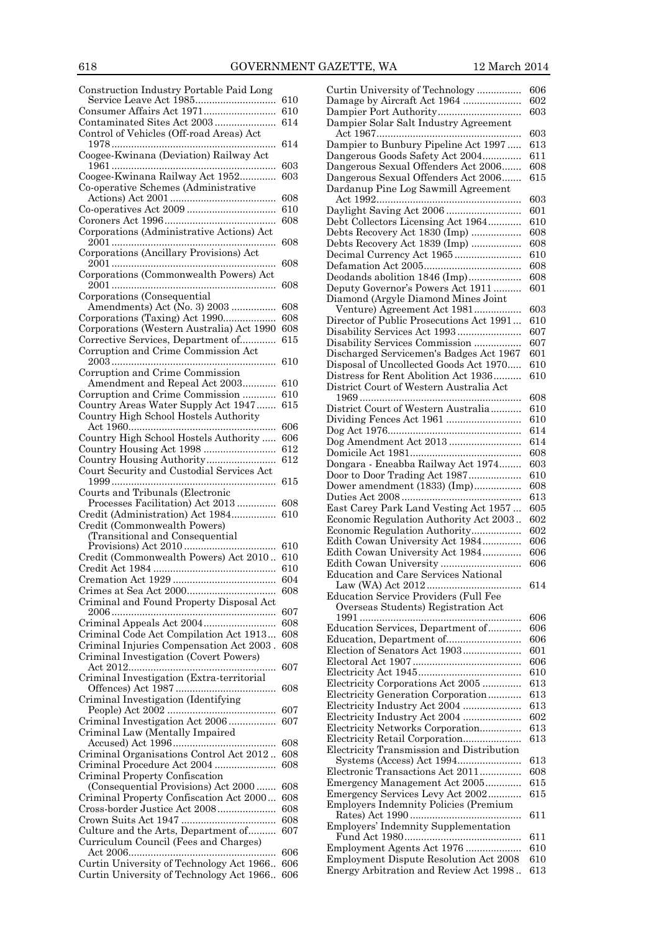| Construction Industry Portable Paid Long                                           |            |
|------------------------------------------------------------------------------------|------------|
| Service Leave Act 1985                                                             | 610        |
|                                                                                    | 610        |
| Contaminated Sites Act 2003                                                        | 614        |
| Control of Vehicles (Off-road Areas) Act                                           | 614        |
| Coogee-Kwinana (Deviation) Railway Act                                             |            |
|                                                                                    | 603        |
| Coogee-Kwinana Railway Act 1952                                                    | 603        |
| Co-operative Schemes (Administrative                                               |            |
|                                                                                    | 608        |
|                                                                                    | 610<br>608 |
| Corporations (Administrative Actions) Act                                          |            |
|                                                                                    | 608        |
| Corporations (Ancillary Provisions) Act                                            |            |
|                                                                                    | 608        |
| Corporations (Commonwealth Powers) Act                                             |            |
|                                                                                    | 608        |
| Corporations (Consequential<br>Amendments) Act (No. 3) 2003                        | 608        |
| Corporations (Taxing) Act 1990                                                     | 608        |
| Corporations (Western Australia) Act 1990                                          | 608        |
| Corrective Services, Department of                                                 | 615        |
| Corruption and Crime Commission Act                                                |            |
|                                                                                    | 610        |
| Corruption and Crime Commission                                                    |            |
| Amendment and Repeal Act 2003<br>Corruption and Crime Commission                   | 610<br>610 |
| Country Areas Water Supply Act 1947                                                | 615        |
| Country High School Hostels Authority                                              |            |
|                                                                                    | 606        |
| Country High School Hostels Authority                                              | 606        |
|                                                                                    | 612        |
| Country Housing Authority                                                          | 612        |
| Court Security and Custodial Services Act                                          |            |
|                                                                                    |            |
|                                                                                    | $^{615}$   |
| Courts and Tribunals (Electronic<br>Processes Facilitation) Act 2013               | 608        |
| Credit (Administration) Act 1984                                                   | 610        |
| Credit (Commonwealth Powers)                                                       |            |
| (Transitional and Consequential                                                    |            |
|                                                                                    | 610        |
| Credit (Commonwealth Powers) Act 2010                                              | 610<br>610 |
|                                                                                    | 604        |
|                                                                                    | 608        |
| Criminal and Found Property Disposal Act                                           |            |
|                                                                                    | 607        |
|                                                                                    | 608        |
| Criminal Code Act Compilation Act 1913                                             | 608<br>608 |
| Criminal Injuries Compensation Act 2003.<br>Criminal Investigation (Covert Powers) |            |
|                                                                                    | 607        |
| Criminal Investigation (Extra-territorial                                          |            |
|                                                                                    | 608        |
| Criminal Investigation (Identifying                                                | 607        |
|                                                                                    | 607        |
| Criminal Investigation Act 2006<br>Criminal Law (Mentally Impaired                 |            |
|                                                                                    | 608        |
| Criminal Organisations Control Act 2012                                            | 608        |
| Criminal Procedure Act 2004                                                        | 608        |
| Criminal Property Confiscation                                                     | 608        |
| (Consequential Provisions) Act 2000<br>Criminal Property Confiscation Act 2000     | 608        |
| Cross-border Justice Act 2008                                                      | 608        |
|                                                                                    | 608        |
| Culture and the Arts, Department of                                                | 607        |
| Curriculum Council (Fees and Charges)                                              |            |
| Curtin University of Technology Act 1966                                           | 606<br>606 |

| Curtin University of Technology                                                  | 606        |
|----------------------------------------------------------------------------------|------------|
| Damage by Aircraft Act 1964                                                      | 602        |
|                                                                                  |            |
|                                                                                  | 603        |
| Dampier Solar Salt Industry Agreement                                            |            |
|                                                                                  | 603        |
| Dampier to Bunbury Pipeline Act 1997                                             | 613        |
| Dangerous Goods Safety Act 2004                                                  | 611        |
|                                                                                  |            |
| Dangerous Sexual Offenders Act 2006                                              | 608        |
| Dangerous Sexual Offenders Act 2006                                              | 615        |
| Dardanup Pine Log Sawmill Agreement                                              |            |
|                                                                                  | 603        |
|                                                                                  |            |
| Daylight Saving Act 2006                                                         | 601        |
| Debt Collectors Licensing Act 1964                                               | 610        |
| Debts Recovery Act 1830 (Imp)                                                    | 608        |
| Debts Recovery Act 1839 (Imp)                                                    | 608        |
|                                                                                  |            |
| Decimal Currency Act 1965                                                        | 610        |
|                                                                                  | 608        |
| Deodands abolition 1846 (Imp)                                                    | 608        |
| Deputy Governor's Powers Act 1911                                                | 601        |
|                                                                                  |            |
| Diamond (Argyle Diamond Mines Joint                                              |            |
| Venture) Agreement Act 1981                                                      | 603        |
| Director of Public Prosecutions Act 1991                                         | 610        |
| Disability Services Act 1993                                                     | 607        |
|                                                                                  |            |
| Disability Services Commission                                                   | 607        |
| Discharged Servicemen's Badges Act 1967                                          | 601        |
| Disposal of Uncollected Goods Act 1970                                           | 610        |
| Distress for Rent Abolition Act 1936                                             | 610        |
|                                                                                  |            |
| District Court of Western Australia Act                                          |            |
|                                                                                  | 608        |
| District Court of Western Australia                                              | 610        |
| Dividing Fences Act 1961                                                         | 610        |
|                                                                                  |            |
|                                                                                  | 614        |
|                                                                                  | 614        |
|                                                                                  | 608        |
| Dongara - Eneabba Railway Act 1974                                               | 603        |
| Door to Door Trading Act 1987                                                    | 610        |
|                                                                                  |            |
| Dower amendment (1833) (Imp)                                                     | 608        |
|                                                                                  | 613        |
| East Carey Park Land Vesting Act 1957                                            | 605        |
| Economic Regulation Authority Act 2003                                           | 602        |
|                                                                                  |            |
| Economic Regulation Authority                                                    | 602        |
| Edith Cowan University Act 1984                                                  | 606        |
| Edith Cowan University Act 1984                                                  | 606        |
| Edith Cowan University                                                           | 606        |
|                                                                                  |            |
| <b>Education and Care Services National</b>                                      |            |
|                                                                                  | 614        |
| <b>Education Service Providers (Full Fee</b>                                     |            |
| Overseas Students) Registration Act                                              |            |
|                                                                                  | 606        |
|                                                                                  |            |
| Education Services, Department of                                                | 606        |
| Education, Department of                                                         | 606        |
| Election of Senators Act 1903                                                    | 601        |
|                                                                                  | 606        |
|                                                                                  |            |
|                                                                                  | 610        |
| Electricity Corporations Act 2005                                                | 613        |
| Electricity Generation Corporation                                               | 613        |
| Electricity Industry Act 2004                                                    | 613        |
|                                                                                  | 602        |
| Electricity Industry Act 2004                                                    |            |
| Electricity Networks Corporation                                                 | 613        |
| Electricity Retail Corporation                                                   | 613        |
| Electricity Transmission and Distribution                                        |            |
| Systems (Access) Act 1994                                                        | 613        |
|                                                                                  |            |
| Electronic Transactions Act 2011                                                 | 608        |
| Emergency Management Act 2005                                                    | 615        |
| Emergency Services Levy Act 2002                                                 | 615        |
| <b>Employers Indemnity Policies (Premium</b>                                     |            |
|                                                                                  | 611        |
|                                                                                  |            |
| Employers' Indemnity Supplementation                                             |            |
|                                                                                  |            |
|                                                                                  | 611        |
|                                                                                  | 610        |
| Employment Agents Act 1976                                                       |            |
| Employment Dispute Resolution Act 2008<br>Energy Arbitration and Review Act 1998 | 610<br>613 |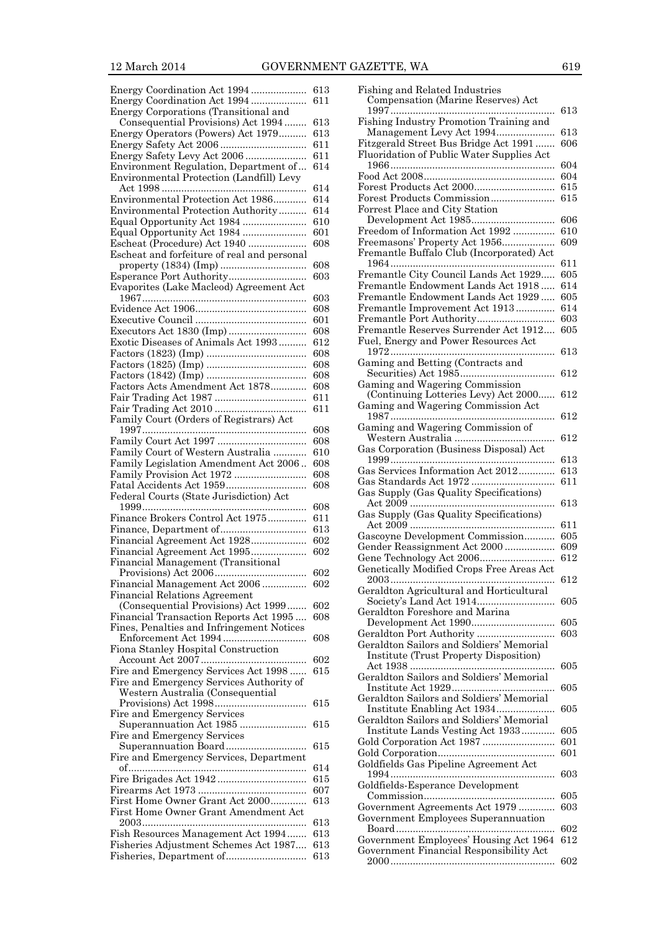Energy Coordination Act 1994 .................... 613 Energy Coordination Act 1994 .................... 611 Energy Corporations (Transitional and

| Consequential Provisions) Act 1994          | 613 |
|---------------------------------------------|-----|
| Energy Operators (Powers) Act 1979          | 613 |
|                                             | 611 |
| Energy Safety Levy Act 2006                 | 611 |
| Environment Regulation, Department of       | 614 |
| Environmental Protection (Landfill) Levy    |     |
|                                             | 614 |
| Environmental Protection Act 1986           | 614 |
| Environmental Protection Authority          | 614 |
|                                             |     |
| Equal Opportunity Act 1984                  | 610 |
| Equal Opportunity Act 1984                  | 601 |
| Escheat (Procedure) Act 1940                | 608 |
| Escheat and forfeiture of real and personal |     |
|                                             | 608 |
| Esperance Port Authority                    | 603 |
| Evaporites (Lake Macleod) Agreement Act     |     |
|                                             | 603 |
|                                             | 608 |
|                                             | 601 |
|                                             | 608 |
| Exotic Diseases of Animals Act 1993         | 612 |
|                                             | 608 |
|                                             | 608 |
|                                             |     |
|                                             | 608 |
| Factors Acts Amendment Act 1878             | 608 |
|                                             | 611 |
|                                             | 611 |
| Family Court (Orders of Registrars) Act     |     |
|                                             | 608 |
|                                             | 608 |
| Family Court of Western Australia           | 610 |
| Family Legislation Amendment Act 2006       | 608 |
| Family Provision Act 1972                   | 608 |
| Fatal Accidents Act 1959                    | 608 |
| Federal Courts (State Jurisdiction) Act     |     |
|                                             |     |
|                                             |     |
|                                             | 608 |
| Finance Brokers Control Act 1975            | 611 |
|                                             | 613 |
| Financial Agreement Act 1928                | 602 |
| Financial Agreement Act 1995                | 602 |
| Financial Management (Transitional          |     |
|                                             | 602 |
| Financial Management Act 2006               | 602 |
| <b>Financial Relations Agreement</b>        |     |
| (Consequential Provisions) Act 1999         | 602 |
| Financial Transaction Reports Act 1995 608  |     |
| Fines, Penalties and Infringement Notices   |     |
|                                             | 608 |
|                                             |     |
| Fiona Stanley Hospital Construction         |     |
|                                             | 602 |
| Fire and Emergency Services Act 1998        | 615 |
| Fire and Emergency Services Authority of    |     |
| Western Australia (Consequential            |     |
|                                             | 615 |
| Fire and Emergency Services                 |     |
| Superannuation Act 1985                     | 615 |
| Fire and Emergency Services                 |     |
| Superannuation Board                        | 615 |
| Fire and Emergency Services, Department     |     |
|                                             | 614 |
|                                             | 615 |
|                                             | 607 |
| First Home Owner Grant Act 2000             | 613 |
| First Home Owner Grant Amendment Act        |     |
|                                             | 613 |
| Fish Resources Management Act 1994          | 613 |
| Fisheries Adjustment Schemes Act 1987       | 613 |

| Fishing and Related Industries                                                     |            |
|------------------------------------------------------------------------------------|------------|
| Compensation (Marine Reserves) Act                                                 | $^{613}$   |
| Fishing Industry Promotion Training and                                            |            |
| Management Levy Act 1994                                                           | 613        |
| Fitzgerald Street Bus Bridge Act 1991<br>Fluoridation of Public Water Supplies Act | 606        |
|                                                                                    | 604        |
|                                                                                    | 604        |
| Forest Products Act 2000                                                           | 615        |
| Forest Products Commission                                                         | 615        |
| Forrest Place and City Station<br>Development Act 1985                             | 606        |
| Freedom of Information Act 1992                                                    | 610        |
| Freemasons' Property Act 1956                                                      | 609        |
| Fremantle Buffalo Club (Incorporated) Act                                          |            |
| Fremantle City Council Lands Act 1929                                              | 611<br>605 |
| Fremantle Endowment Lands Act 1918                                                 | 614        |
| Fremantle Endowment Lands Act 1929                                                 | 605        |
| Fremantle Improvement Act 1913                                                     | 614        |
| Fremantle Port Authority                                                           | 603        |
| Fremantle Reserves Surrender Act 1912<br>Fuel, Energy and Power Resources Act      | 605        |
|                                                                                    | $^{613}$   |
| Gaming and Betting (Contracts and                                                  |            |
|                                                                                    | 612        |
| Gaming and Wagering Commission                                                     | 612        |
| (Continuing Lotteries Levy) Act 2000<br>Gaming and Wagering Commission Act         |            |
| .                                                                                  | 612        |
| Gaming and Wagering Commission of                                                  |            |
|                                                                                    | 612        |
| Gas Corporation (Business Disposal) Act                                            | 613        |
| Gas Services Information Act 2012                                                  | 613        |
|                                                                                    | 611        |
| Gas Supply (Gas Quality Specifications)                                            |            |
|                                                                                    | 613        |
| Gas Supply (Gas Quality Specifications)                                            | 611        |
| Gascoyne Development Commission                                                    | 605        |
| Gender Reassignment Act 2000                                                       | 609        |
|                                                                                    | 612        |
| Genetically Modified Crops Free Areas Act                                          | 612        |
| Geraldton Agricultural and Horticultural                                           |            |
|                                                                                    | 605        |
| Geraldton Foreshore and Marina                                                     |            |
| Development Act 1990<br>Geraldton Port Authority                                   | 605<br>603 |
| Geraldton Sailors and Soldiers' Memorial                                           |            |
| <b>Institute (Trust Property Disposition)</b>                                      |            |
|                                                                                    | 605        |
| Geraldton Sailors and Soldiers' Memorial                                           | 605        |
| Geraldton Sailors and Soldiers' Memorial                                           |            |
|                                                                                    | 605        |
| Geraldton Sailors and Soldiers' Memorial                                           |            |
| Institute Lands Vesting Act 1933                                                   | 605<br>601 |
| Gold Corporation Act 1987                                                          | 601        |
| Goldfields Gas Pipeline Agreement Act                                              |            |
|                                                                                    | 603        |
| Goldfields-Esperance Development                                                   |            |
| Government Agreements Act 1979                                                     | 605<br>603 |
| Government Employees Superannuation                                                |            |
|                                                                                    | 602        |
| Government Employees' Housing Act 1964                                             | 612        |
| Government Financial Responsibility Act                                            | 602        |
|                                                                                    |            |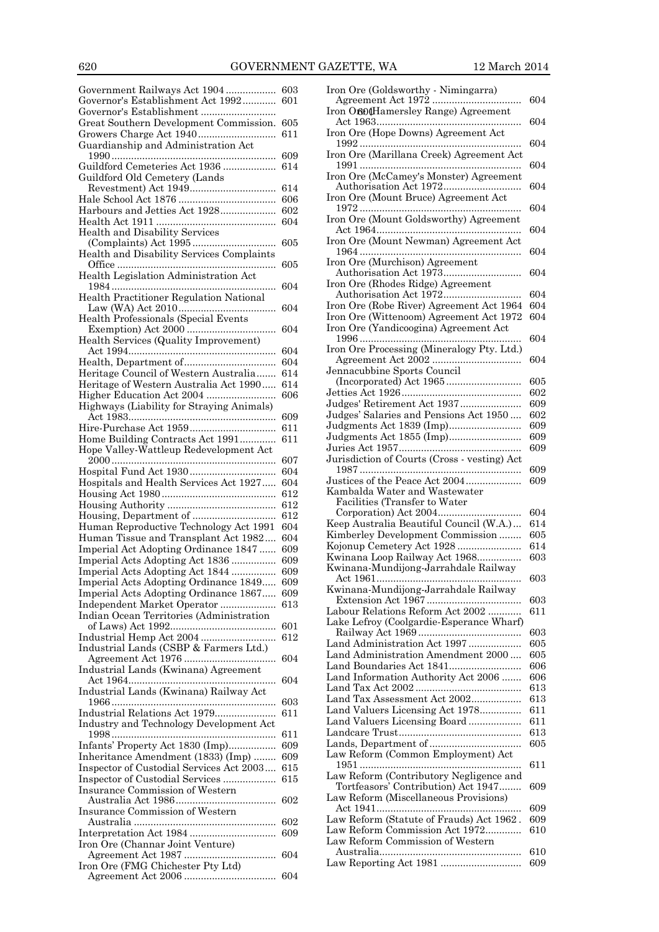| Government Railways Act 1904 603           |     | Iron Ore (  |
|--------------------------------------------|-----|-------------|
| Governor's Establishment Act 1992          | 601 | Agreeme     |
| Governor's Establishment                   |     | Iron Oro0   |
| Great Southern Development Commission. 605 |     | Act 1963    |
|                                            | 611 | Iron Ore (1 |
| Guardianship and Administration Act        |     | 1992        |
|                                            | 609 | Iron Ore (  |
| Guildford Cemeteries Act 1936              | 614 | 1991        |
| Guildford Old Cemetery (Lands              |     | Iron Ore (1 |
|                                            | 614 | Authoris    |
|                                            | 606 | Iron Ore (1 |
| Harbours and Jetties Act 1928              | 602 | 1972        |
|                                            | 604 | Iron Ore (  |
| Health and Disability Services             |     | Act 1964    |
|                                            | 605 | Iron Ore (1 |
| Health and Disability Services Complaints  |     | 1964        |
|                                            | 605 | Iron Ore (1 |
| Health Legislation Administration Act      |     | Authoris    |
|                                            | 604 | Iron Ore (1 |
| Health Practitioner Regulation National    |     | Authoris    |
|                                            | 604 | Iron Ore (1 |
|                                            |     | Iron Ore (' |
| Health Professionals (Special Events       |     | Iron Ore (  |
|                                            | 604 | 1996        |
| Health Services (Quality Improvement)      |     | Iron Ore F  |
|                                            | 604 | Agreeme     |
|                                            | 604 | Jennacubl   |
| Heritage Council of Western Australia      | 614 |             |
| Heritage of Western Australia Act 1990     | 614 | (Incorpo    |
|                                            | 606 | Jetties Act |
| Highways (Liability for Straying Animals)  |     | Judges' Re  |
|                                            | 609 | Judges' Sa  |
|                                            | 611 | Judgment    |
| Home Building Contracts Act 1991           | 611 | Judgment    |
| Hope Valley-Wattleup Redevelopment Act     |     | Juries Act  |
|                                            | 607 | Jurisdictic |
|                                            | 604 | 1987        |
| Hospitals and Health Services Act 1927     | 604 | Justices of |
|                                            | 612 | Kambalda    |
|                                            | 612 | Facilitie   |
|                                            | 612 | Corpora     |
| Human Reproductive Technology Act 1991     | 604 | Keep Aust   |
| Human Tissue and Transplant Act 1982       | 604 | Kimberley   |
| Imperial Act Adopting Ordinance 1847       | 609 | Kojonup C   |
| Imperial Acts Adopting Act 1836            | 609 | Kwinana l   |
| Imperial Acts Adopting Act 1844            | 609 | Kwinana-l   |
| Imperial Acts Adopting Ordinance 1849 609  |     | Act 1961    |
|                                            |     | Kwinana-l   |
| Imperial Acts Adopting Ordinance 1867      | 609 | Extensio    |
| Independent Market Operator                | 613 | Labour Re   |
| Indian Ocean Territories (Administration   |     | Lake Lefro  |
|                                            | 601 | Railway     |
|                                            | 612 |             |
| Industrial Lands (CSBP & Farmers Ltd.)     |     |             |
|                                            |     | Land Adm    |
|                                            | 604 | Land Adm    |
| Industrial Lands (Kwinana) Agreement       |     | Land Bour   |
|                                            | 604 | Land Infoi  |
| Industrial Lands (Kwinana) Railway Act     |     | Land Tax    |
|                                            | 603 | Land Tax .  |
| Industrial Relations Act 1979              | 611 | Land Valu   |
| Industry and Technology Development Act    |     | Land Valu   |
|                                            | 611 | Landcare '  |
| Infants' Property Act 1830 (Imp)           | 609 | Lands, De   |
| Inheritance Amendment (1833) (Imp)         | 609 | Law Refor   |
| Inspector of Custodial Services Act 2003   | 615 | $1951$      |
| Inspector of Custodial Services            | 615 | Law Refor   |
| Insurance Commission of Western            |     | Tortfeas    |
|                                            | 602 | Law Refor   |
| Insurance Commission of Western            |     | Act 1941    |
|                                            | 602 | Law Refor   |
|                                            | 609 | Law Refor   |
| Iron Ore (Channar Joint Venture)           |     | Law Refor   |
| Agreement Act 1987<br>.                    | 604 | Australi    |
| Iron Ore (FMG Chichester Pty Ltd)          |     | Law Repor   |

| Iron Ore (Goldsworthy - Nimingarra)          |            |
|----------------------------------------------|------------|
|                                              | 604        |
| Iron Of Of Hamersley Range) Agreement        |            |
|                                              | 604        |
| Iron Ore (Hope Downs) Agreement Act          |            |
|                                              | 604        |
| Iron Ore (Marillana Creek) Agreement Act     |            |
|                                              | 604        |
| Iron Ore (McCamey's Monster) Agreement       |            |
|                                              | 604        |
| Iron Ore (Mount Bruce) Agreement Act         |            |
|                                              | 604        |
| Iron Ore (Mount Goldsworthy) Agreement       |            |
|                                              | 604        |
|                                              |            |
| Iron Ore (Mount Newman) Agreement Act        |            |
|                                              | 604        |
| Iron Ore (Murchison) Agreement               |            |
|                                              | 604        |
| Iron Ore (Rhodes Ridge) Agreement            |            |
|                                              | 604        |
| Iron Ore (Robe River) Agreement Act 1964     | 604        |
| Iron Ore (Wittenoom) Agreement Act 1972      | 604        |
| Iron Ore (Yandicoogina) Agreement Act        |            |
|                                              | 604        |
| Iron Ore Processing (Mineralogy Pty. Ltd.)   |            |
|                                              | 604        |
| Jennacubbine Sports Council                  |            |
|                                              | 605        |
|                                              | 602        |
| Judges' Retirement Act 1937                  | 609        |
| Judges' Salaries and Pensions Act 1950       | 602        |
| Judgments Act 1839 (Imp)                     | 609        |
| Judgments Act 1855 (Imp)                     | 609        |
|                                              | 609        |
| Jurisdiction of Courts (Cross - vesting) Act |            |
|                                              |            |
|                                              | 609        |
|                                              |            |
| Justices of the Peace Act 2004               | 609        |
| Kambalda Water and Wastewater                |            |
| Facilities (Transfer to Water                | 604        |
|                                              | 614        |
| Keep Australia Beautiful Council (W.A.)      | 605        |
| Kimberley Development Commission             | 614        |
| Kojonup Cemetery Act 1928                    |            |
| Kwinana Loop Railway Act 1968                | 603        |
| Kwinana-Mundijong-Jarrahdale Railway         |            |
| Act 1961                                     | 603        |
| Kwinana-Mundijong-Jarrahdale Railway         |            |
|                                              | 603        |
| Labour Relations Reform Act 2002             | 611        |
| Lake Lefroy (Coolgardie-Esperance Wharf)     |            |
|                                              | 603        |
| Land Administration Act 1997                 | 605        |
| Land Administration Amendment 2000           | 605        |
| Land Boundaries Act 1841                     | 606        |
| Land Information Authority Act 2006          | 606        |
|                                              | 613        |
| Land Tax Assessment Act 2002                 | 613        |
| Land Valuers Licensing Act 1978              | 611        |
| Land Valuers Licensing Board                 | 611        |
|                                              | $^{613}$   |
|                                              | 605        |
| Law Reform (Common Employment) Act           |            |
|                                              | 611        |
| Law Reform (Contributory Negligence and      |            |
| Tortfeasors' Contribution) Act 1947          | 609        |
| Law Reform (Miscellaneous Provisions)        |            |
|                                              | 609        |
| Law Reform (Statute of Frauds) Act 1962.     | 609        |
| Law Reform Commission Act 1972               | $_{610}$   |
| Law Reform Commission of Western             |            |
|                                              | 610<br>609 |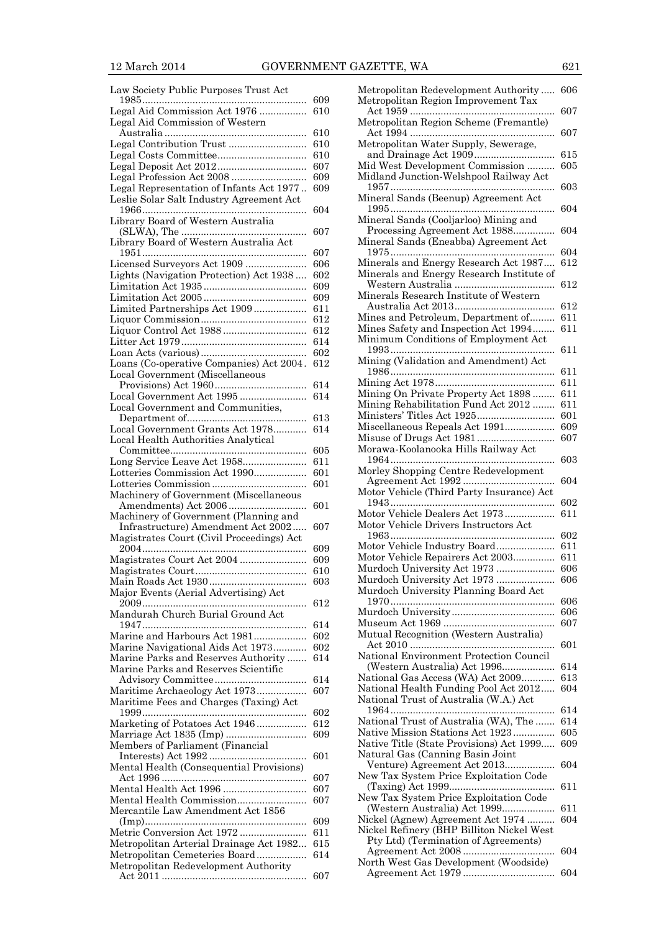| Law Society Public Purposes Trust Act                                                |     |
|--------------------------------------------------------------------------------------|-----|
|                                                                                      | 609 |
| Legal Aid Commission Act 1976<br>Legal Aid Commission of Western                     | 610 |
|                                                                                      | 610 |
| Legal Contribution Trust                                                             | 610 |
|                                                                                      | 610 |
|                                                                                      | 607 |
| Legal Profession Act 2008                                                            | 609 |
| Legal Representation of Infants Act 1977<br>Leslie Solar Salt Industry Agreement Act | 609 |
| Library Board of Western Australia                                                   | 604 |
| Library Board of Western Australia Act                                               | 607 |
|                                                                                      | 607 |
| Licensed Surveyors Act 1909                                                          | 606 |
| Lights (Navigation Protection) Act 1938                                              | 602 |
|                                                                                      | 609 |
|                                                                                      | 609 |
| Limited Partnerships Act 1909                                                        | 611 |
|                                                                                      | 612 |
|                                                                                      | 612 |
|                                                                                      | 614 |
|                                                                                      | 602 |
| Loans (Co-operative Companies) Act 2004.<br><b>Local Government (Miscellaneous</b>   | 612 |
|                                                                                      | 614 |
| Local Government Act 1995<br>Local Government and Communities,                       | 614 |
|                                                                                      | 613 |
| Local Government Grants Act 1978<br>Local Health Authorities Analytical              | 614 |
|                                                                                      | 605 |
|                                                                                      | 611 |
| Lotteries Commission Act 1990                                                        | 601 |
|                                                                                      | 601 |
| Machinery of Government (Miscellaneous                                               | 601 |
| Machinery of Government (Planning and                                                |     |
| Infrastructure) Amendment Act 2002<br>Magistrates Court (Civil Proceedings) Act      | 607 |
|                                                                                      | 609 |
|                                                                                      | 609 |
|                                                                                      | 610 |
|                                                                                      | 603 |
| Major Events (Aerial Advertising) Act<br>.                                           | 612 |
| Mandurah Church Burial Ground Act                                                    | 614 |
| Marine and Harbours Act 1981                                                         | 602 |
| Marine Navigational Aids Act 1973                                                    | 602 |
| Marine Parks and Reserves Authority<br>Marine Parks and Reserves Scientific          | 614 |
|                                                                                      | 614 |
| Maritime Archaeology Act 1973<br>Maritime Fees and Charges (Taxing) Act              | 607 |
|                                                                                      | 602 |
| Marketing of Potatoes Act 1946                                                       | 612 |
| Marriage Act 1835 (Imp)<br>Members of Parliament (Financial                          | 609 |
| Mental Health (Consequential Provisions)                                             | 601 |
|                                                                                      | 607 |
| Mental Health Act 1996                                                               | 607 |
| Mental Health Commission                                                             | 607 |
| Mercantile Law Amendment Act 1856                                                    | 609 |
| Metric Conversion Act 1972                                                           | 611 |
| Metropolitan Arterial Drainage Act 1982                                              | 615 |
| Metropolitan Cemeteries Board                                                        | 614 |
| Metropolitan Redevelopment Authority                                                 |     |
|                                                                                      | 607 |

| Metropolitan Redevelopment Authority<br>Metropolitan Region Improvement Tax | 606        |
|-----------------------------------------------------------------------------|------------|
| Metropolitan Region Scheme (Fremantle)                                      | 607        |
| Metropolitan Water Supply, Sewerage,                                        | 607        |
|                                                                             | 615        |
| Mid West Development Commission                                             | 605        |
| Midland Junction-Welshpool Railway Act                                      | 603        |
| Mineral Sands (Beenup) Agreement Act                                        | 604        |
| Mineral Sands (Cooljarloo) Mining and<br>Processing Agreement Act 1988      | 604        |
| Mineral Sands (Eneabba) Agreement Act                                       |            |
| Minerals and Energy Research Act 1987                                       | 604<br>612 |
| Minerals and Energy Research Institute of                                   |            |
|                                                                             | 612        |
| Minerals Research Institute of Western                                      |            |
|                                                                             | 612        |
| Mines and Petroleum, Department of                                          | 611        |
| Mines Safety and Inspection Act 1994                                        | 611        |
| Minimum Conditions of Employment Act                                        | 611        |
| Mining (Validation and Amendment) Act                                       |            |
|                                                                             | 611        |
|                                                                             | 611        |
| Mining On Private Property Act 1898                                         | 611        |
| Mining Rehabilitation Fund Act 2012                                         | 611        |
| Ministers' Titles Act 1925                                                  | 601        |
| Miscellaneous Repeals Act 1991                                              | 609        |
|                                                                             | 607        |
| Morawa-Koolanooka Hills Railway Act                                         |            |
| Morley Shopping Centre Redevelopment                                        | 603        |
|                                                                             | 604        |
| Motor Vehicle (Third Party Insurance) Act                                   |            |
|                                                                             | 602        |
| Motor Vehicle Dealers Act 1973                                              | 611        |
| Motor Vehicle Drivers Instructors Act                                       | 602        |
| Motor Vehicle Industry Board                                                | 611        |
| Motor Vehicle Repairers Act 2003                                            | 611        |
| Murdoch University Act 1973                                                 | 606        |
| Murdoch University Act 1973                                                 | 606        |
| Murdoch University Planning Board Act                                       |            |
|                                                                             | 606        |
|                                                                             |            |
|                                                                             |            |
| Mutual Recognition (Western Australia)                                      | 606        |
|                                                                             | 607        |
| National Environment Protection Council                                     | 601        |
|                                                                             |            |
| (Western Australia) Act 1996                                                | 614        |
|                                                                             | 613        |
| National Gas Access (WA) Act 2009<br>National Health Funding Pool Act 2012  | 604        |
| National Trust of Australia (W.A.) Act                                      |            |
|                                                                             | 614        |
| National Trust of Australia (WA), The                                       | 614        |
| Native Mission Stations Act 1923                                            | 605        |
| Native Title (State Provisions) Act 1999                                    | 609        |
| Natural Gas (Canning Basin Joint                                            | 604        |
| Venture) Agreement Act 2013                                                 |            |
| New Tax System Price Exploitation Code                                      | 611        |
| New Tax System Price Exploitation Code                                      |            |
| (Western Australia) Act 1999                                                | 611        |
| Nickel (Agnew) Agreement Act 1974                                           | 604        |
| Nickel Refinery (BHP Billiton Nickel West                                   |            |
| Pty Ltd) (Termination of Agreements)                                        | 604        |
| North West Gas Development (Woodside)                                       |            |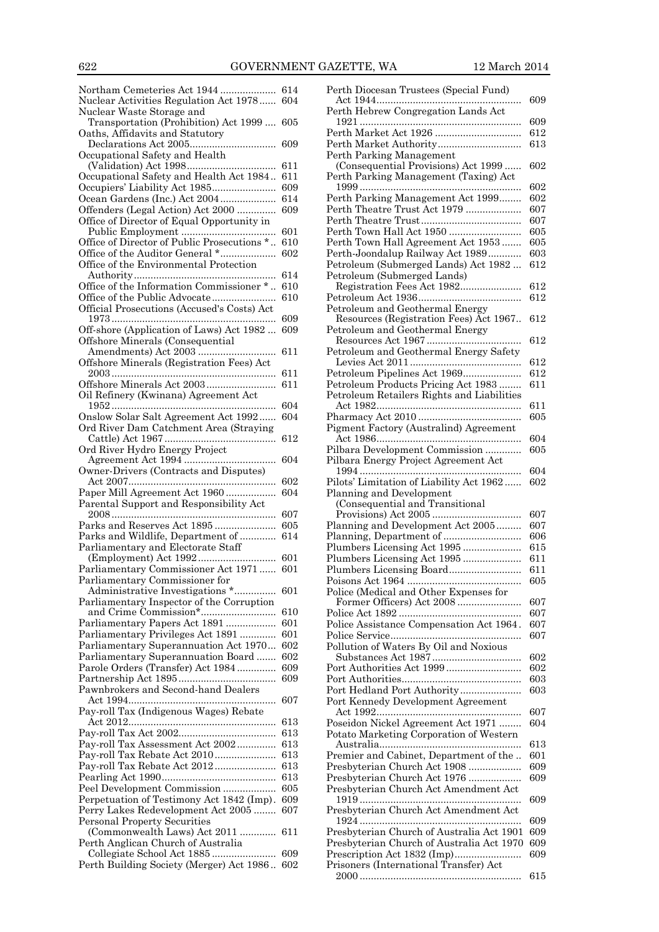|                                                                         | Perth Diocesan Trustees (Special Fund)                                          |
|-------------------------------------------------------------------------|---------------------------------------------------------------------------------|
| Nuclear Activities Regulation Act 1978 604                              | Perth Hebrew Congregation Lands Act                                             |
| Nuclear Waste Storage and<br>Transportation (Prohibition) Act 1999  605 |                                                                                 |
| Oaths, Affidavits and Statutory                                         |                                                                                 |
|                                                                         |                                                                                 |
| Occupational Safety and Health                                          | Perth Parking Management                                                        |
|                                                                         | (Consequential Provisions) Act 1999                                             |
| Occupational Safety and Health Act 1984 611                             | Perth Parking Management (Taxing) Ac                                            |
| Occupiers' Liability Act 1985 609                                       |                                                                                 |
|                                                                         | Perth Parking Management Act 1999<br>Perth Theatre Trust Act 1979               |
| Office of Director of Equal Opportunity in                              |                                                                                 |
|                                                                         | Perth Town Hall Act 1950                                                        |
| Office of Director of Public Prosecutions * 610                         | Perth Town Hall Agreement Act 1953                                              |
|                                                                         | Perth-Joondalup Railway Act 1989                                                |
| Office of the Environmental Protection                                  | Petroleum (Submerged Lands) Act 1982                                            |
|                                                                         | Petroleum (Submerged Lands)                                                     |
| Office of the Information Commissioner * 610                            | Registration Fees Act 1982                                                      |
| Official Prosecutions (Accused's Costs) Act                             | Petroleum and Geothermal Energy                                                 |
|                                                                         | Resources (Registration Fees) Act 196                                           |
| Off-shore (Application of Laws) Act 1982  609                           | Petroleum and Geothermal Energy                                                 |
| Offshore Minerals (Consequential                                        |                                                                                 |
|                                                                         | Petroleum and Geothermal Energy Safe                                            |
| Offshore Minerals (Registration Fees) Act                               |                                                                                 |
|                                                                         | Petroleum Pipelines Act 1969                                                    |
| Oil Refinery (Kwinana) Agreement Act                                    | Petroleum Products Pricing Act 1983<br>Petroleum Retailers Rights and Liabiliti |
|                                                                         |                                                                                 |
| Onslow Solar Salt Agreement Act 1992 604                                |                                                                                 |
| Ord River Dam Catchment Area (Straying                                  | Pigment Factory (Australind) Agreemen                                           |
|                                                                         |                                                                                 |
| Ord River Hydro Energy Project                                          | Pilbara Development Commission                                                  |
| Owner-Drivers (Contracts and Disputes)                                  | Pilbara Energy Project Agreement Act                                            |
|                                                                         | Pilots' Limitation of Liability Act 1962                                        |
| Paper Mill Agreement Act 1960 604                                       | Planning and Development                                                        |
| Parental Support and Responsibility Act                                 | (Consequential and Transitional                                                 |
|                                                                         |                                                                                 |
|                                                                         | Planning and Development Act 2005<br>Planning, Department of                    |
| Parliamentary and Electorate Staff                                      | Plumbers Licensing Act 1995                                                     |
|                                                                         | Plumbers Licensing Act 1995                                                     |
| Parliamentary Commissioner Act 1971 601                                 |                                                                                 |
| Parliamentary Commissioner for                                          | Poisons Act 1964                                                                |
| Administrative Investigations * 601                                     | Police (Medical and Other Expenses for                                          |
| Parliamentary Inspector of the Corruption                               |                                                                                 |
| Parliamentary Papers Act 1891  601                                      |                                                                                 |
| Parliamentary Privileges Act 1891  601                                  | Police Assistance Compensation Act 196                                          |
| Parliamentary Superannuation Act 1970 602                               | Pollution of Waters By Oil and Noxious                                          |
| Parliamentary Superannuation Board 602                                  |                                                                                 |
| Parole Orders (Transfer) Act 1984 609                                   |                                                                                 |
|                                                                         |                                                                                 |
| Pawnbrokers and Second-hand Dealers                                     | Port Hedland Port Authority                                                     |
| Pay-roll Tax (Indigenous Wages) Rebate                                  | Port Kennedy Development Agreement                                              |
|                                                                         | Poseidon Nickel Agreement Act 1971                                              |
|                                                                         | Potato Marketing Corporation of Wester                                          |
| Pay-roll Tax Assessment Act 2002 613                                    |                                                                                 |
|                                                                         | Premier and Cabinet, Department of the                                          |
| Pay-roll Tax Rebate Act 2012 613                                        | Presbyterian Church Act 1908                                                    |
|                                                                         | Presbyterian Church Act 1976                                                    |
| Perpetuation of Testimony Act 1842 (Imp). 609                           | Presbyterian Church Act Amendment A                                             |
| Perry Lakes Redevelopment Act 2005 607                                  | Presbyterian Church Act Amendment A                                             |
| <b>Personal Property Securities</b>                                     |                                                                                 |
|                                                                         | Presbyterian Church of Australia Act 19                                         |
| Perth Anglican Church of Australia                                      |                                                                                 |
|                                                                         | Presbyterian Church of Australia Act 19                                         |
| Perth Building Society (Merger) Act 1986 602                            | Prescription Act 1832 (Imp)<br>Prisoners (International Transfer) Act           |

| Perth Diocesan Trustees (Special Fund)                                   |            |
|--------------------------------------------------------------------------|------------|
| Perth Hebrew Congregation Lands Act                                      | 609        |
|                                                                          | 609        |
|                                                                          | 612        |
| Perth Market Authority                                                   | 613        |
| Perth Parking Management                                                 |            |
| (Consequential Provisions) Act 1999                                      | 602        |
| Perth Parking Management (Taxing) Act                                    | 602        |
| Perth Parking Management Act 1999                                        | 602        |
| Perth Theatre Trust Act 1979                                             | 607        |
|                                                                          | 607        |
| Perth Town Hall Act 1950                                                 | 605        |
| Perth Town Hall Agreement Act 1953                                       | 605        |
| Perth-Joondalup Railway Act 1989<br>Petroleum (Submerged Lands) Act 1982 | 603<br>612 |
| Petroleum (Submerged Lands)                                              |            |
| Registration Fees Act 1982                                               | 612        |
|                                                                          | 612        |
| Petroleum and Geothermal Energy                                          |            |
| Resources (Registration Fees) Act 1967                                   | 612        |
| Petroleum and Geothermal Energy                                          | 612        |
| Petroleum and Geothermal Energy Safety                                   |            |
|                                                                          | 612        |
| Petroleum Pipelines Act 1969                                             | 612        |
| Petroleum Products Pricing Act 1983                                      | 611        |
| Petroleum Retailers Rights and Liabilities                               |            |
|                                                                          | 611<br>605 |
| Pigment Factory (Australind) Agreement                                   |            |
|                                                                          | 604        |
| Pilbara Development Commission                                           | 605        |
| Pilbara Energy Project Agreement Act                                     |            |
|                                                                          | 604        |
| Pilots' Limitation of Liability Act 1962<br>Planning and Development     | 602        |
| (Consequential and Transitional                                          |            |
|                                                                          | 607        |
| Planning and Development Act 2005                                        | 607        |
| Planning, Department of                                                  | 606        |
| Plumbers Licensing Act 1995<br>Plumbers Licensing Act 1995               | 615<br>611 |
| Plumbers Licensing Board                                                 | 611        |
| Poisons Act 1964                                                         | 605        |
| Police (Medical and Other Expenses for                                   |            |
| Former Officers) Act 2008                                                | 607        |
|                                                                          | 607        |
| Police Assistance Compensation Act 1964.                                 | 607<br>607 |
| Pollution of Waters By Oil and Noxious                                   |            |
|                                                                          | 602        |
|                                                                          | 602        |
|                                                                          | 603        |
| Port Hedland Port Authority                                              | 603        |
| Port Kennedy Development Agreement                                       | 607        |
| Poseidon Nickel Agreement Act 1971                                       | 604        |
| Potato Marketing Corporation of Western                                  |            |
|                                                                          | 613        |
| Premier and Cabinet, Department of the                                   | 601        |
| Presbyterian Church Act 1908                                             | 609        |
| Presbyterian Church Act 1976<br>Presbyterian Church Act Amendment Act    | 609        |
|                                                                          | 609        |
| Presbyterian Church Act Amendment Act                                    |            |
|                                                                          | 609        |
| Presbyterian Church of Australia Act 1901                                | 609        |
| Presbyterian Church of Australia Act 1970                                | 609<br>609 |
| Prescription Act 1832 (Imp)<br>Prisoners (International Transfer) Act    |            |
|                                                                          | 615        |
|                                                                          |            |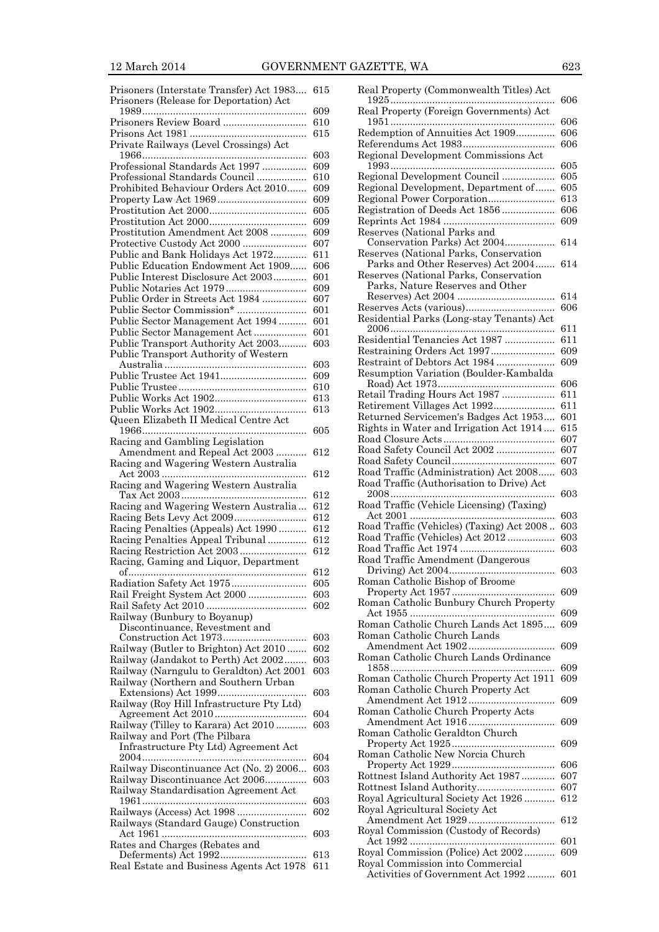| Prisoners (Interstate Transfer) Act 1983<br>Prisoners (Release for Deportation) Act | 615        |
|-------------------------------------------------------------------------------------|------------|
|                                                                                     | 609        |
| Prisoners Review Board                                                              | 610        |
|                                                                                     | 615        |
| Private Railways (Level Crossings) Act                                              |            |
|                                                                                     | 603        |
| Professional Standards Act 1997                                                     | 609        |
| Professional Standards Council                                                      | 610        |
| Prohibited Behaviour Orders Act 2010                                                | 609        |
|                                                                                     | 609        |
|                                                                                     | 605        |
|                                                                                     | 609        |
| Prostitution Amendment Act 2008<br>Protective Custody Act 2000                      | 609<br>607 |
| Public and Bank Holidays Act 1972                                                   | 611        |
| Public Education Endowment Act 1909                                                 | 606        |
| Public Interest Disclosure Act 2003                                                 | 601        |
| Public Notaries Act 1979                                                            | 609        |
| Public Order in Streets Act 1984                                                    | 607        |
|                                                                                     | 601        |
| Public Sector Management Act 1994                                                   | 601        |
| Public Sector Management Act                                                        | 601        |
| Public Transport Authority Act 2003                                                 | 603        |
| Public Transport Authority of Western                                               |            |
|                                                                                     | 603        |
| Public Trustee Act 1941                                                             | 609        |
|                                                                                     | 610        |
|                                                                                     | 613<br>613 |
| Queen Elizabeth II Medical Centre Act                                               |            |
|                                                                                     | 605        |
| Racing and Gambling Legislation                                                     |            |
| Amendment and Repeal Act 2003                                                       | 612        |
| Racing and Wagering Western Australia                                               |            |
|                                                                                     | 612        |
| Racing and Wagering Western Australia                                               |            |
|                                                                                     | 612        |
| Racing and Wagering Western Australia                                               | 612        |
|                                                                                     | 612        |
| Racing Penalties (Appeals) Act 1990<br>Racing Penalties Appeal Tribunal             | 612        |
|                                                                                     |            |
|                                                                                     | 612        |
|                                                                                     | 612        |
| Racing, Gaming and Liquor, Department                                               |            |
|                                                                                     | 612        |
| Radiation Safety Act 1975                                                           | 605<br>603 |
| Rail Freight System Act 2000                                                        | 602        |
| Railway (Bunbury to Boyanup)                                                        |            |
| Discontinuance, Revestment and                                                      |            |
|                                                                                     | 603        |
| Railway (Butler to Brighton) Act 2010                                               | 602        |
| Railway (Jandakot to Perth) Act 2002                                                | 603        |
| Railway (Narngulu to Geraldton) Act 2001                                            | 603        |
| Railway (Northern and Southern Urban                                                |            |
|                                                                                     | 603        |
| Railway (Roy Hill Infrastructure Pty Ltd)                                           | 604        |
| Railway (Tilley to Karara) Act 2010                                                 | 603        |
| Railway and Port (The Pilbara                                                       |            |
| Infrastructure Pty Ltd) Agreement Act                                               |            |
|                                                                                     | 604        |
| Railway Discontinuance Act (No. 2) 2006                                             | 603        |
| Railway Discontinuance Act 2006                                                     | 603        |
| Railway Standardisation Agreement Act                                               |            |
|                                                                                     | 603        |
|                                                                                     | 602        |
| Railways (Standard Gauge) Construction                                              | 603        |
| Rates and Charges (Rebates and                                                      |            |
| Real Estate and Business Agents Act 1978                                            | 613<br>611 |

| Real Property (Commonwealth Titles) Act                                    | 606        |
|----------------------------------------------------------------------------|------------|
| Real Property (Foreign Governments) Act                                    |            |
| Redemption of Annuities Act 1909                                           | 606        |
|                                                                            | 606<br>606 |
| Regional Development Commissions Act                                       |            |
| Regional Development Council                                               | 605<br>605 |
| Regional Development, Department of                                        | 605        |
| Regional Power Corporation                                                 | 613        |
| Registration of Deeds Act 1856                                             | 606        |
| Reserves (National Parks and                                               | 609        |
| Conservation Parks) Act 2004                                               | 614        |
| Reserves (National Parks, Conservation                                     |            |
| Parks and Other Reserves) Act 2004                                         | 614        |
| Reserves (National Parks, Conservation<br>Parks, Nature Reserves and Other |            |
|                                                                            | 614        |
|                                                                            | 606        |
| Residential Parks (Long-stay Tenants) Act                                  |            |
| Residential Tenancies Act 1987                                             | 611<br>611 |
| Restraining Orders Act 1997                                                | 609        |
| Restraint of Debtors Act 1984                                              | 609        |
| Resumption Variation (Boulder-Kambalda                                     |            |
| Retail Trading Hours Act 1987                                              | 606<br>611 |
| Retirement Villages Act 1992                                               | 611        |
| Returned Servicemen's Badges Act 1953                                      | 601        |
| Rights in Water and Irrigation Act 1914                                    | $615\,$    |
|                                                                            | 607        |
| Road Safety Council Act 2002                                               | 607<br>607 |
| Road Traffic (Administration) Act 2008                                     | 603        |
| Road Traffic (Authorisation to Drive) Act                                  |            |
| Road Traffic (Vehicle Licensing) (Taxing)                                  | 603        |
|                                                                            | 603        |
| Road Traffic (Vehicles) (Taxing) Act 2008                                  | 603        |
| Road Traffic (Vehicles) Act 2012                                           | 603        |
| Road Traffic Amendment (Dangerous                                          | 603        |
|                                                                            | 603        |
| Roman Catholic Bishop of Broome                                            |            |
|                                                                            | 609        |
| Roman Catholic Bunbury Church Property                                     | 609        |
| Roman Catholic Church Lands Act 1895                                       | 609        |
| Roman Catholic Church Lands                                                |            |
|                                                                            | 609        |
| Roman Catholic Church Lands Ordinance                                      | 609        |
| Roman Catholic Church Property Act 1911                                    | 609        |
| Roman Catholic Church Property Act                                         |            |
|                                                                            | 609        |
| Roman Catholic Church Property Acts                                        |            |
| Roman Catholic Geraldton Church                                            | 609        |
|                                                                            | 609        |
| Roman Catholic New Norcia Church                                           |            |
|                                                                            | 606        |
| Rottnest Island Authority Act 1987                                         | 607<br>607 |
| Royal Agricultural Society Act 1926                                        | 612        |
| Royal Agricultural Society Act                                             |            |
|                                                                            | 612        |
| Royal Commission (Custody of Records)                                      | 601        |
| Royal Commission (Police) Act 2002                                         | 609        |
| Royal Commission into Commercial                                           |            |
| Activities of Government Act 1992                                          | 601        |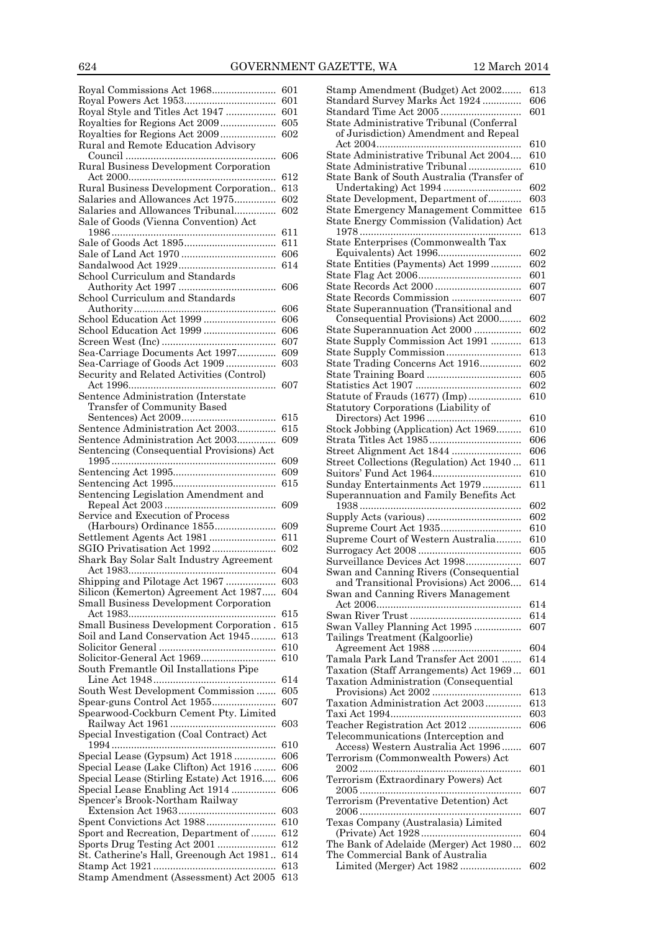| Royal Commissions Act 1968                                               | 601                |
|--------------------------------------------------------------------------|--------------------|
|                                                                          | 601                |
| Royal Style and Titles Act 1947                                          | 601<br>605         |
| Royalties for Regions Act 2009                                           | 602                |
| Rural and Remote Education Advisory                                      |                    |
|                                                                          | 606                |
| Rural Business Development Corporation                                   |                    |
| Rural Business Development Corporation                                   | 612                |
| Salaries and Allowances Act 1975                                         | $^{613}$<br>602    |
| Salaries and Allowances Tribunal                                         | 602                |
| Sale of Goods (Vienna Convention) Act                                    |                    |
|                                                                          | 611                |
|                                                                          | 611                |
|                                                                          | 606                |
| School Curriculum and Standards                                          | 614                |
|                                                                          | 606                |
| School Curriculum and Standards                                          |                    |
|                                                                          | 606                |
| School Education Act 1999                                                | 606                |
| School Education Act 1999                                                | 606                |
| Sea-Carriage Documents Act 1997                                          | 607<br>609         |
| Sea-Carriage of Goods Act 1909                                           | 603                |
| Security and Related Activities (Control)                                |                    |
|                                                                          | 607                |
| Sentence Administration (Interstate                                      |                    |
| Transfer of Community Based                                              |                    |
| Sentence Administration Act 2003                                         | $615\,$<br>$615\,$ |
| Sentence Administration Act 2003                                         | 609                |
| Sentencing (Consequential Provisions) Act                                |                    |
|                                                                          | 609                |
|                                                                          | 609                |
|                                                                          | $615\,$            |
| Sentencing Legislation Amendment and                                     | 609                |
| Service and Execution of Process                                         |                    |
| (Harbours) Ordinance 1855                                                | 609                |
| Settlement Agents Act 1981                                               | 611                |
|                                                                          | 602                |
| Shark Bay Solar Salt Industry Agreement                                  |                    |
| Shipping and Pilotage Act 1967                                           | 604<br>603         |
| Silicon (Kemerton) Agreement Act 1987                                    | 604                |
| Small Business Development Corporation                                   |                    |
|                                                                          | $^{615}$           |
| Small Business Development Corporation.                                  |                    |
|                                                                          | $^{615}$           |
| Soil and Land Conservation Act 1945                                      | $^{613}$           |
|                                                                          | 610                |
|                                                                          | 610                |
| South Fremantle Oil Installations Pipe                                   | 614                |
| South West Development Commission                                        | 605                |
| Spear-guns Control Act 1955                                              | 607                |
| Spearwood-Cockburn Cement Pty. Limited                                   |                    |
|                                                                          | 603                |
| Special Investigation (Coal Contract) Act                                |                    |
|                                                                          | 610<br>606         |
| Special Lease (Gypsum) Act 1918<br>Special Lease (Lake Clifton) Act 1916 | 606                |
| Special Lease (Stirling Estate) Act 1916                                 | 606                |
| Special Lease Enabling Act 1914                                          | 606                |
| Spencer's Brook-Northam Railway                                          |                    |
|                                                                          | 603                |
|                                                                          | 610<br>612         |
| Sport and Recreation, Department of<br>Sports Drug Testing Act 2001      | 612                |
| St. Catherine's Hall, Greenough Act 1981                                 | 614                |
| Stamp Amendment (Assessment) Act 2005                                    | 613<br>613         |

| Stamp Amendment (Budget) Act 2002                                               | 613        |
|---------------------------------------------------------------------------------|------------|
| Standard Survey Marks Act 1924                                                  | 606<br>601 |
| State Administrative Tribunal (Conferral                                        |            |
| of Jurisdiction) Amendment and Repeal                                           |            |
| State Administrative Tribunal Act 2004                                          | 610        |
| State Administrative Tribunal                                                   | 610<br>610 |
| State Bank of South Australia (Transfer of                                      |            |
| Undertaking) Act 1994                                                           | 602        |
| State Development, Department of                                                | 603        |
| State Emergency Management Committee                                            | 615        |
| State Energy Commission (Validation) Act                                        | $^{613}$   |
| State Enterprises (Commonwealth Tax                                             |            |
|                                                                                 | 602        |
| State Entities (Payments) Act 1999                                              | 602        |
|                                                                                 | 601<br>607 |
| State Records Commission                                                        | 607        |
| State Superannuation (Transitional and                                          |            |
| Consequential Provisions) Act 2000                                              | 602        |
| State Superannuation Act 2000<br>State Supply Commission Act 1991               | 602<br>613 |
| State Supply Commission                                                         | 613        |
| State Trading Concerns Act 1916                                                 | 602        |
|                                                                                 | 605        |
|                                                                                 | 602        |
| Statute of Frauds (1677) (Imp)<br>Statutory Corporations (Liability of          | 610        |
|                                                                                 | 610        |
| Stock Jobbing (Application) Act 1969                                            | $_{610}$   |
|                                                                                 | 606        |
| Street Alignment Act 1844<br>Street Collections (Regulation) Act 1940           | 606<br>611 |
|                                                                                 | 610        |
| Sunday Entertainments Act 1979                                                  | 611        |
| Superannuation and Family Benefits Act                                          |            |
|                                                                                 | 602        |
|                                                                                 | 602<br>610 |
| Supreme Court of Western Australia                                              | 610        |
|                                                                                 | 605        |
| Surveillance Devices Act 1998                                                   | 607        |
| Swan and Canning Rivers (Consequential<br>and Transitional Provisions) Act 2006 | 614        |
| Swan and Canning Rivers Management                                              |            |
|                                                                                 | 614        |
|                                                                                 | 614        |
| Swan Valley Planning Act 1995<br>Tailings Treatment (Kalgoorlie)                | 607        |
|                                                                                 | 604        |
| Tamala Park Land Transfer Act 2001                                              | 614        |
| Taxation (Staff Arrangements) Act 1969                                          | 601        |
| Taxation Administration (Consequential                                          | 613        |
| Taxation Administration Act 2003                                                | 613        |
|                                                                                 | 603        |
| Teacher Registration Act 2012                                                   | 606        |
| Telecommunications (Interception and                                            |            |
| Access) Western Australia Act 1996<br>Terrorism (Commonwealth Powers) Act       | 607        |
|                                                                                 | 601        |
| Terrorism (Extraordinary Powers) Act                                            |            |
|                                                                                 | 607        |
| Terrorism (Preventative Detention) Act                                          | 607        |
| Texas Company (Australasia) Limited                                             |            |
|                                                                                 | 604        |
| The Bank of Adelaide (Merger) Act 1980                                          | 602        |
| The Commercial Bank of Australia<br>Limited (Merger) Act 1982                   | 602        |
|                                                                                 |            |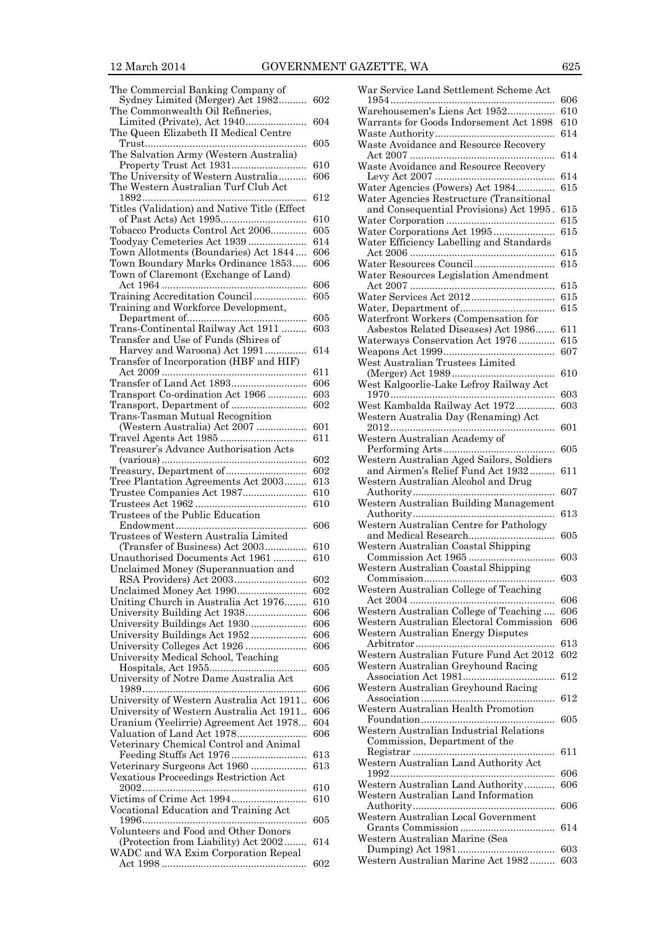| The Commercial Banking Company of            |     |
|----------------------------------------------|-----|
| Sydney Limited (Merger) Act 1982             | 602 |
| The Commonwealth Oil Refineries,             |     |
|                                              | 604 |
| Limited (Private), Act 1940                  |     |
| The Queen Elizabeth II Medical Centre        |     |
| .                                            | 605 |
| The Salvation Army (Western Australia)       |     |
|                                              | 610 |
| The University of Western Australia          | 606 |
| The Western Australian Turf Club Act         |     |
|                                              |     |
| 1892                                         | 612 |
| Titles (Validation) and Native Title (Effect |     |
|                                              | 610 |
| Tobacco Products Control Act 2006            | 605 |
| Toodyay Cemeteries Act 1939                  | 614 |
| Town Allotments (Boundaries) Act 1844        | 606 |
|                                              |     |
| Town Boundary Marks Ordinance 1853           | 606 |
| Town of Claremont (Exchange of Land)         |     |
|                                              | 606 |
| Training Accreditation Council               | 605 |
| Training and Workforce Development,          |     |
|                                              | 605 |
|                                              |     |
| Trans-Continental Railway Act 1911           | 603 |
| Transfer and Use of Funds (Shires of         |     |
| Harvey and Waroona) Act 1991                 | 614 |
| Transfer of Incorporation (HBF and HIF)      |     |
|                                              | 611 |
| Transfer of Land Act 1893                    | 606 |
|                                              | 603 |
| Transport Co-ordination Act 1966             |     |
|                                              | 602 |
| Trans-Tasman Mutual Recognition              |     |
| (Western Australia) Act 2007                 | 601 |
|                                              | 611 |
| Treasurer's Advance Authorisation Acts       |     |
|                                              |     |
|                                              | 602 |
|                                              |     |
| Treasury, Department of                      | 602 |
| Tree Plantation Agreements Act 2003          | 613 |
|                                              |     |
| Trustee Companies Act 1987                   | 610 |
|                                              | 610 |
| Trustees of the Public Education             |     |
|                                              | 606 |
| Trustees of Western Australia Limited        |     |
| (Transfer of Business) Act 2003              | 610 |
|                                              | 610 |
| Unauthorised Documents Act 1961              |     |
| Unclaimed Money (Superannuation and          |     |
| RSA Providers) Act 2003                      | 602 |
| Unclaimed Money Act 1990                     | 602 |
| Uniting Church in Australia Act 1976         | 610 |
|                                              | 606 |
| University Building Act 1938                 |     |
| University Buildings Act 1930                | 606 |
| University Buildings Act 1952                | 606 |
| University Colleges Act 1926                 | 606 |
| University Medical School, Teaching          |     |
|                                              | 605 |
|                                              |     |
| University of Notre Dame Australia Act       | 606 |
|                                              |     |
| University of Western Australia Act 1911     | 606 |
| University of Western Australia Act 1911     | 606 |
| Uranium (Yeelirrie) Agreement Act 1978       | 604 |
| Valuation of Land Act 1978                   | 606 |
|                                              |     |
| Veterinary Chemical Control and Animal       |     |
|                                              | 613 |
| Veterinary Surgeons Act 1960                 | 613 |
| Vexatious Proceedings Restriction Act        |     |
|                                              | 610 |
|                                              | 610 |
|                                              |     |
| Vocational Education and Training Act        | 605 |
|                                              |     |
| Volunteers and Food and Other Donors         |     |
| (Protection from Liability) Act 2002         | 614 |
| WADC and WA Exim Corporation Repeal          | 602 |

| War Service Land Settlement Scheme Act    |            |
|-------------------------------------------|------------|
|                                           | 606        |
| Warehousemen's Liens Act 1952             | 610        |
| Warrants for Goods Indorsement Act 1898   | 610        |
|                                           | 614        |
| Waste Avoidance and Resource Recovery     |            |
|                                           | 614        |
| Waste Avoidance and Resource Recovery     | 614        |
| Water Agencies (Powers) Act 1984          | 615        |
| Water Agencies Restructure (Transitional  |            |
| and Consequential Provisions) Act 1995.   | 615        |
|                                           | 615        |
| Water Corporations Act 1995               | 615        |
| Water Efficiency Labelling and Standards  |            |
|                                           | 615        |
| Water Resources Council                   | $615\,$    |
| Water Resources Legislation Amendment     |            |
|                                           | 615        |
|                                           | 615        |
|                                           | 615        |
| Waterfront Workers (Compensation for      |            |
| Asbestos Related Diseases) Act 1986       | 611<br>615 |
| Waterways Conservation Act 1976           | 607        |
| West Australian Trustees Limited          |            |
|                                           | 610        |
| West Kalgoorlie-Lake Lefroy Railway Act   |            |
|                                           | 603        |
| West Kambalda Railway Act 1972            | 603        |
| Western Australia Day (Renaming) Act      |            |
|                                           | 601        |
| Western Australian Academy of             |            |
| .                                         | 605        |
| Western Australian Aged Sailors, Soldiers |            |
| and Airmen's Relief Fund Act 1932         | 611        |
| Western Australian Alcohol and Drug       | 607        |
| Western Australian Building Management    |            |
|                                           | 613        |
| Western Australian Centre for Pathology   |            |
| and Medical Research                      | 605        |
| Western Australian Coastal Shipping       |            |
|                                           | 603        |
| Western Australian Coastal Shipping       |            |
|                                           | 603        |
| Western Australian College of Teaching    |            |
| Western Australian College of Teaching    | 606<br>606 |
| Western Australian Electoral Commission   | 606        |
| Western Australian Energy Disputes        |            |
|                                           | $^{613}$   |
| Western Australian Future Fund Act 2012   | 602        |
| Western Australian Greyhound Racing       |            |
|                                           | 612        |
| Western Australian Greyhound Racing       |            |
|                                           | 612        |
| Western Australian Health Promotion       |            |
|                                           | 605        |
| Western Australian Industrial Relations   |            |
| Commission, Department of the             | 611        |
| Western Australian Land Authority Act     |            |
|                                           | 606        |
| Western Australian Land Authority         | 606        |
| Western Australian Land Information       |            |
|                                           | 606        |
| Western Australian Local Government       |            |
|                                           | 614        |
| Western Australian Marine (Sea            |            |
| Western Australian Marine Act 1982        | 603        |
|                                           | 603        |